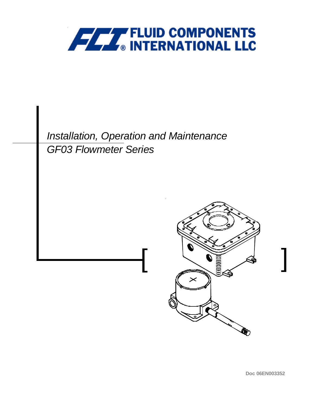

*Installation, Operation and Maintenance GF03 Flowmeter Series*

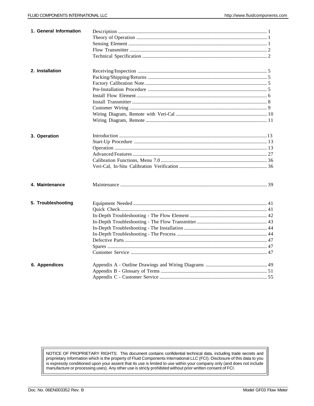| 1. General Information |  |
|------------------------|--|
|                        |  |
|                        |  |
|                        |  |
|                        |  |
|                        |  |
| 2. Installation        |  |
|                        |  |
|                        |  |
|                        |  |
|                        |  |
|                        |  |
|                        |  |
|                        |  |
|                        |  |
|                        |  |
| 3. Operation           |  |
|                        |  |
|                        |  |
|                        |  |
|                        |  |
|                        |  |
|                        |  |
| 4. Maintenance         |  |
|                        |  |
| 5. Troubleshooting     |  |
|                        |  |
|                        |  |
|                        |  |
|                        |  |
|                        |  |
|                        |  |
|                        |  |
|                        |  |
| 6. Appendices          |  |
|                        |  |
|                        |  |
|                        |  |

NOTICE OF PROPRIETARY RIGHTS: This document contains confidential technical data, including trade secrets and<br>proprietary information which is the property of Fluid Components International LLC (FCI). Disclosure of this da is expressly conditioned upon your assent that its use is limited to use within your company only (and does not include manufacture or processing uses). Any other use is stricly prohibited without prior written consent of FCI.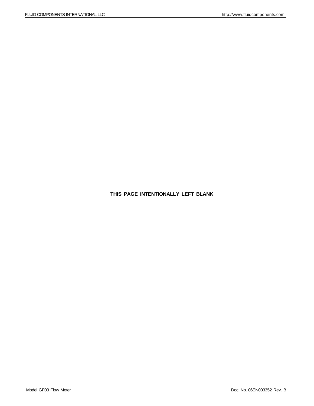#### **THIS PAGE INTENTIONALLY LEFT BLANK**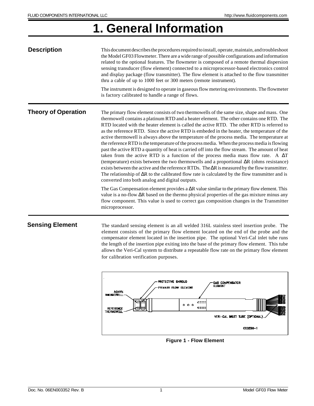# **1. General Information**

| <b>Description</b>         | This document describes the procedures required to install, operate, maintain, and troubleshoot<br>the Model GF03 Flowmeter. There are a wide range of possible configurations and information<br>related to the optional features. The flowmeter is composed of a remote thermal dispersion<br>sensing transducer (flow element) connected to a microprocessor-based electronics control<br>and display package (flow transmitter). The flow element is attached to the flow transmitter<br>thru a cable of up to 1000 feet or 300 meters (remote instrument).<br>The instrument is designed to operate in gaseous flow metering environments. The flowmeter<br>is factory calibrated to handle a range of flows.                                                                                                                                                                                                                                                                                                                                                                                                                                                                                                                                                                                                                                                                                                                                                                     |
|----------------------------|----------------------------------------------------------------------------------------------------------------------------------------------------------------------------------------------------------------------------------------------------------------------------------------------------------------------------------------------------------------------------------------------------------------------------------------------------------------------------------------------------------------------------------------------------------------------------------------------------------------------------------------------------------------------------------------------------------------------------------------------------------------------------------------------------------------------------------------------------------------------------------------------------------------------------------------------------------------------------------------------------------------------------------------------------------------------------------------------------------------------------------------------------------------------------------------------------------------------------------------------------------------------------------------------------------------------------------------------------------------------------------------------------------------------------------------------------------------------------------------|
| <b>Theory of Operation</b> | The primary flow element consists of two thermowells of the same size, shape and mass. One<br>thermowell contains a platinum RTD and a heater element. The other contains one RTD. The<br>RTD located with the heater element is called the active RTD. The other RTD is referred to<br>as the reference RTD. Since the active RTD is embeded in the heater, the temperature of the<br>active thermowell is always above the temperature of the process media. The temperature at<br>the reference RTD is the temperature of the process media. When the process media is flowing<br>past the active RTD a quantity of heat is carried off into the flow stream. The amount of heat<br>taken from the active RTD is a function of the process media mass flow rate. A $\Delta T$<br>(temperature) exists between the two thermowells and a proportional $\Delta R$ (ohms resistance)<br>exists between the active and the reference RTDs. The $\Delta R$ is measured by the flow transmitter.<br>The relationship of $\Delta R$ to the calibrated flow rate is calculated by the flow transmitter and is<br>converted into both analog and digital outputs.<br>The Gas Compensation element provides a $\Delta R$ value similar to the primary flow element. This<br>value is a no-flow $\Delta R$ based on the thermo physical properties of the gas mixture minus any<br>flow component. This value is used to correct gas composition changes in the Transmitter<br>microprocessor. |
| <b>Sensing Element</b>     | The standard sensing element is an all welded 316L stainless steel insertion probe. The<br>element consists of the primary flow element located on the end of the probe and the<br>compensator element located in the insertion pipe. The optional Veri-Cal inlet tube runs                                                                                                                                                                                                                                                                                                                                                                                                                                                                                                                                                                                                                                                                                                                                                                                                                                                                                                                                                                                                                                                                                                                                                                                                            |
|                            | the length of the insertion pipe exiting into the base of the primary flow element. This tube<br>allows the Veri-Cal system to distribute a repeatable flow rate on the primary flow element<br>for calibration verification purposes.<br>PROTECTIVE SHROUD                                                                                                                                                                                                                                                                                                                                                                                                                                                                                                                                                                                                                                                                                                                                                                                                                                                                                                                                                                                                                                                                                                                                                                                                                            |
|                            | <b>GAS COMPENSATOR</b><br><b>ELEMENT</b><br><b>PRIMARY FLOW ELEMENT</b><br>ArmV-                                                                                                                                                                                                                                                                                                                                                                                                                                                                                                                                                                                                                                                                                                                                                                                                                                                                                                                                                                                                                                                                                                                                                                                                                                                                                                                                                                                                       |

C00550-1

VERI-CAL INLET TUBE (OPTIONAL)

 $\circ$   $\circ$   $\circ$   $\frac{c}{c}$ 

∽∠

**REFERENCE**<br>THERMOWELL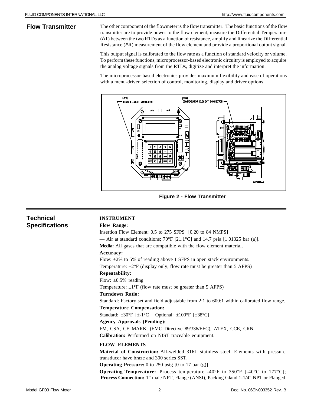## **Flow Transmitter**

The other component of the flowmeter is the flow transmitter. The basic functions of the flow transmitter are to provide power to the flow element, measure the Differential Temperature (ΔT) between the two RTDs as a function of resistance, amplify and linearize the Differential Resistance (ΔR) measurement of the flow element and provide a proportional output signal.

This output signal is calibrated to the flow rate as a function of standard velocity or volume. To perform these functions, microprocessor-based electronic circuitry is employed to acquire the analog voltage signals from the RTDs, digitize and interpret the information.

The microprocessor-based electronics provides maximum flexibility and ease of operations with a menu-driven selection of control, monitoring, display and driver options.



**Figure 2 - Flow Transmitter**

| <b>Technical</b>      | <b>INSTRUMENT</b>                                                                                                                                                                                 |  |  |
|-----------------------|---------------------------------------------------------------------------------------------------------------------------------------------------------------------------------------------------|--|--|
| <b>Specifications</b> | <b>Flow Range:</b>                                                                                                                                                                                |  |  |
|                       | Insertion Flow Element: 0.5 to 275 SFPS [0.20 to 84 NMPS]                                                                                                                                         |  |  |
|                       | — Air at standard conditions; 70°F [21.1°C] and 14.7 psia [1.01325 bar (a)].                                                                                                                      |  |  |
|                       | Media: All gases that are compatible with the flow element material.                                                                                                                              |  |  |
|                       | Accuracy:                                                                                                                                                                                         |  |  |
|                       | Flow: $\pm 2\%$ to 5% of reading above 1 SFPS in open stack environments.                                                                                                                         |  |  |
|                       | Temperature: $\pm 2^{\circ}F$ (display only, flow rate must be greater than 5 AFPS)                                                                                                               |  |  |
|                       | <b>Repeatability:</b>                                                                                                                                                                             |  |  |
|                       | Flow: $\pm 0.5\%$ reading                                                                                                                                                                         |  |  |
|                       | Temperature: $\pm 1$ °F (flow rate must be greater than 5 AFPS)                                                                                                                                   |  |  |
|                       | <b>Turndown Ratio:</b>                                                                                                                                                                            |  |  |
|                       | Standard: Factory set and field adjustable from 2:1 to 600:1 within calibrated flow range.                                                                                                        |  |  |
|                       | <b>Temperature Compensation:</b>                                                                                                                                                                  |  |  |
|                       | Standard: $\pm 30^{\circ}F$ [ $\pm$ -1°C] Optional: $\pm 100^{\circ}F$ [ $\pm 38^{\circ}C$ ]                                                                                                      |  |  |
|                       | <b>Agency Approvals (Pending):</b>                                                                                                                                                                |  |  |
|                       | FM, CSA, CE MARK, (EMC Directive 89/336/EEC), ATEX, CCE, CRN.                                                                                                                                     |  |  |
|                       | Calibration: Performed on NIST traceable equipment.                                                                                                                                               |  |  |
|                       | <b>FLOW ELEMENTS</b>                                                                                                                                                                              |  |  |
|                       | Material of Construction: All-welded 316L stainless steel. Elements with pressure<br>transducer have braze and 300 series SST.                                                                    |  |  |
|                       | <b>Operating Pressure:</b> 0 to 250 psig [0 to 17 bar (g)]                                                                                                                                        |  |  |
|                       | <b>Operating Temperature:</b> Process temperature -40°F to 350°F $[-40^{\circ}\text{C}$ to 177°C];<br><b>Process Connection:</b> 1" male NPT, Flange (ANSI), Packing Gland 1-1/4" NPT or Flanged. |  |  |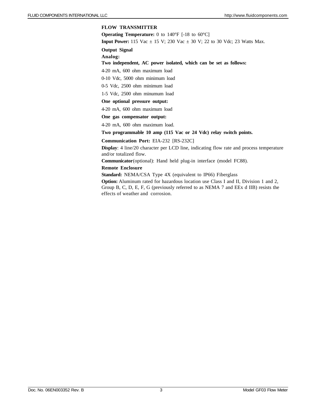#### **FLOW TRANSMITTER**

**Operating Temperature:** 0 to 140°F [-18 to 60°C]

**Input Power:** 115 Vac  $\pm$  15 V; 230 Vac  $\pm$  30 V; 22 to 30 Vdc; 23 Watts Max.

**Output Signal**

**Analog:**

#### **Two independent, AC power isolated, which can be set as follows:**

4-20 mA, 600 ohm maximum load

0-10 Vdc, 5000 ohm minimum load

0-5 Vdc, 2500 ohm minimum load

1-5 Vdc, 2500 ohm minumum load

#### **One optional pressure output:**

4-20 mA, 600 ohm maximum load

**One gas compensator output:**

4-20 mA, 600 ohm maximum load.

**Two programmable 10 amp (115 Vac or 24 Vdc) relay switch points.**

**Communication Port:** EIA-232 [RS-232C]

**Display**: 4 line/20 character per LCD line, indicating flow rate and process temperature and/or totalized flow.

**Communicator**(optional): Hand held plug-in interface (model FC88).

#### **Remote Enclosure**

**Standard:** NEMA/CSA Type 4X (equivalent to IP66) Fiberglass

**Option:** Aluminum rated for hazardous location use Class I and II, Division 1 and 2, Group B, C, D, E, F, G (previously referred to as NEMA 7 and EEx d IIB) resists the effects of weather and corrosion.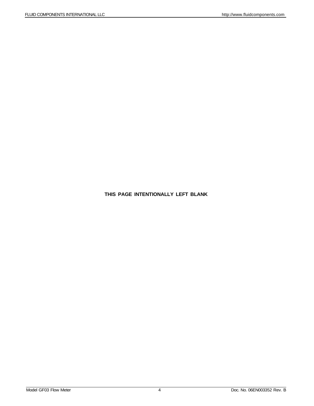### **THIS PAGE INTENTIONALLY LEFT BLANK**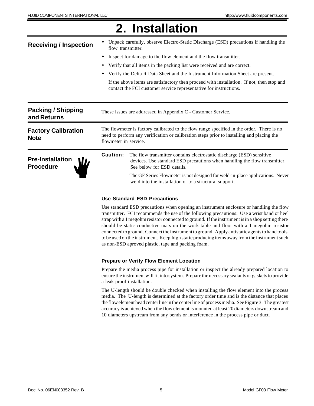# **2. Installation**

| <b>Receiving / Inspection</b>                               | ٠<br>٠                                                                                                                                                                                                          | Unpack carefully, observe Electro-Static Discharge (ESD) precautions if handling the<br>flow transmitter.<br>Inspect for damage to the flow element and the flow transmitter.<br>Verify that all items in the packing list were received and are correct.<br>Verify the Delta R Data Sheet and the Instrument Information Sheet are present.<br>If the above items are satisfactory then proceed with installation. If not, then stop and<br>contact the FCI customer service representative for instructions. |  |  |
|-------------------------------------------------------------|-----------------------------------------------------------------------------------------------------------------------------------------------------------------------------------------------------------------|----------------------------------------------------------------------------------------------------------------------------------------------------------------------------------------------------------------------------------------------------------------------------------------------------------------------------------------------------------------------------------------------------------------------------------------------------------------------------------------------------------------|--|--|
| Packing / Shipping<br>and Returns                           |                                                                                                                                                                                                                 | These issues are addressed in Appendix C - Customer Service.                                                                                                                                                                                                                                                                                                                                                                                                                                                   |  |  |
| <b>Factory Calibration</b><br><b>Note</b>                   | The flowmeter is factory calibrated to the flow range specified in the order. There is no<br>need to perform any verification or calibration steps prior to installing and placing the<br>flowmeter in service. |                                                                                                                                                                                                                                                                                                                                                                                                                                                                                                                |  |  |
| <b>Pre-Installation</b><br>$\mathbf{u}$<br><b>Procedure</b> | Caution:                                                                                                                                                                                                        | The flow transmitter contains electrostatic discharge (ESD) sensitive<br>devices. Use standard ESD precautions when handling the flow transmitter.<br>See below for ESD details.<br>The GF Series Flowmeter is not designed for weld-in-place applications. Never<br>weld into the installation or to a structural support.                                                                                                                                                                                    |  |  |

#### **Use Standard ESD Precautions**

Use standard ESD precautions when opening an instrument enclosure or handling the flow transmitter. FCI recommends the use of the following precautions: Use a wrist band or heel strap with a 1 megohm resistor connected to ground. If the instrument is in a shop setting there should be static conductive mats on the work table and floor with a 1 megohm resistor connected to ground. Connect the instrument to ground. Apply antistatic agents to hand tools to be used on the instrument. Keep high static producing items away from the instrument such as non-ESD aproved plastic, tape and packing foam.

### **Prepare or Verify Flow Element Location**

Prepare the media process pipe for installation or inspect the already prepared location to ensure the instrument will fit into system. Prepare the necessary sealants or gaskets to provide a leak proof installation.

The U-length should be double checked when installing the flow element into the process media. The U-length is determined at the factory order time and is the distance that places the flow element head center line in the center line of process media. See Figure 3. The greatest accuracy is achieved when the flow element is mounted at least 20 diameters downstream and 10 diameters upstream from any bends or interference in the process pipe or duct.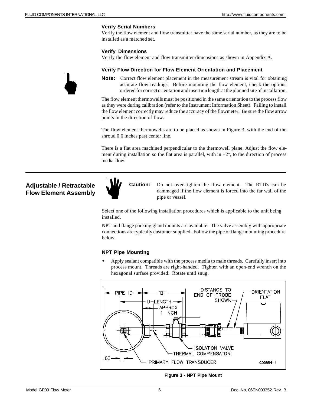#### **Verify Serial Numbers**

Verify the flow element and flow transmitter have the same serial number, as they are to be installed as a matched set.

#### **Verify Dimensions**

Verify the flow element and flow transmitter dimensions as shown in Appendix A.

#### **Verify Flow Direction for Flow Element Orientation and Placement**

**Note:** Correct flow element placement in the measurement stream is vital for obtaining accurate flow readings. Before mounting the flow element, check the options ordered for correct orientation and insertion length at the planned site of installation.

The flow element thermowells must be positioned in the same orientation to the process flow as they were during calibration (refer to the Instrument Information Sheet). Failing to install the flow element correctly may reduce the accuracy of the flowmeter. Be sure the flow arrow points in the direction of flow.

The flow element thermowells are to be placed as shown in Figure 3, with the end of the shroud 0.6 inches past center line.

There is a flat area machined perpendicular to the thermowell plane. Adjust the flow element during installation so the flat area is parallel, with in  $\pm 2^{\circ}$ , to the direction of process media flow.

# **Adjustable / Retractable Flow Element Assembly**



**Caution:** Do not over-tighten the flow element. The RTD's can be dammaged if the flow element is forced into the far wall of the pipe or vessel.

Select one of the following installation procedures which is applicable to the unit being installed.

NPT and flange packing gland mounts are available. The valve assembly with appropriate connections are typically customer supplied. Follow the pipe or flange mounting procedure below.

#### **NPT Pipe Mounting**

Apply sealant compatible with the process media to male threads. Carefully insert into process mount. Threads are right-handed. Tighten with an open-end wrench on the hexagonal surface provided. Rotate until snug.



#### **Figure 3 - NPT Pipe Mount**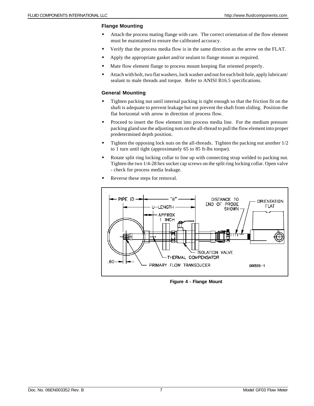#### **Flange Mounting**

- w Attach the process mating flange with care. The correct orientation of the flow element must be maintained to ensure the calibrated accuracy.
- Verify that the process media flow is in the same direction as the arrow on the FLAT.
- Apply the appropriate gasket and/or sealant to flange mount as required.
- Mate flow element flange to process mount keeping flat oriented properly.
- Attach with bolt, two flat washers, lock washer and nut for each bolt hole, apply lubricant/ sealant to male threads and torque. Refer to ANISI B16.5 specifications.

#### **General Mounting**

- Tighten packing nut until internal packing is tight enough so that the friction fit on the shaft is adequate to prevent leakage but not prevent the shaft from sliding. Position the flat horizontal with arrow in direction of process flow.
- Proceed to insert the flow element into process media line. For the medium pressure packing gland use the adjusting nuts on the all-thread to pull the flow element into proper predetermined depth position.
- $\bullet$  Tighten the opposing lock nuts on the all-threads. Tighten the packing nut another  $1/2$ to 1 turn until tight (approximately 65 to 85 ft-lbs torque).
- Rotate split ring locking collar to line up with connecting strap welded to packing nut. Tighten the two 1/4-28 hex socket cap screws on the split ring locking collar. Open valve - check for process media leakage.
- Reverse these steps for removal.



**Figure 4 - Flange Mount**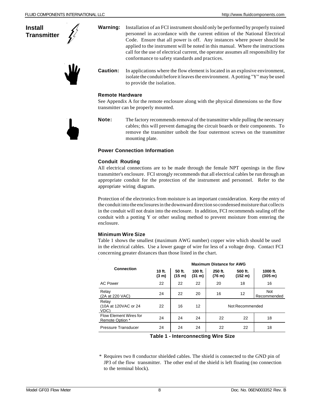# **Install Transmitter**

**Warning:** Installation of an FCI instrument should only be performed by properly trained personnel in accordance with the current edition of the National Electrical Code. Ensure that all power is off. Any instances where power should be applied to the instrument will be noted in this manual. Where the instructions call for the use of electrical current, the operator assumes all responsibility for

conformance to safety standards and practices. **Caution:** In applications where the flow element is located in an explosive environment, isolate the conduit before it leaves the environment. A potting "Y" may be used to provide the isolation.

#### **Remote Hardware**

See Appendix A for the remote enclosure along with the physical dimensions so the flow transmitter can be properly mounted.



**Note:** The factory recommends removal of the transmitter while pulling the necessary cables; this will prevent damaging the circuit boards or their components. To remove the transmitter unbolt the four outermost screws on the transmitter mounting plate.

#### **Power Connection Information**

#### **Conduit Routing**

All electrical connections are to be made through the female NPT openings in the flow transmitter's enclosure. FCI strongly recommends that all electrical cables be run through an appropriate conduit for the protection of the instrument and personnel. Refer to the appropriate wiring diagram.

Protection of the electronics from moisture is an important consideration. Keep the entry of the conduit into the enclosures in the downward direction so condensed moisture that collects in the conduit will not drain into the enclosure. In addition, FCI recommends sealing off the conduit with a potting Y or other sealing method to prevent moisture from entering the enclosure.

#### **Minimum Wire Size**

Table 1 shows the smallest (maximum AWG number) copper wire which should be used in the electrical cables. Use a lower gauge of wire for less of a voltage drop. Contact FCI concerning greater distances than those listed in the chart.

|                                                  | <b>Maximum Distance for AWG</b> |                  |                   |                   |                    |                           |
|--------------------------------------------------|---------------------------------|------------------|-------------------|-------------------|--------------------|---------------------------|
| <b>Connection</b>                                | $10$ ft.<br>(3 <sub>m</sub> )   | 50 ft.<br>(15 m) | 100 ft.<br>(31 m) | 250 ft.<br>(76 m) | 500 ft.<br>(152 m) | 1000 ft.<br>(305 m)       |
| <b>AC Power</b>                                  | 22                              | 22               | 22                | 20                | 18                 | 16                        |
| Relay<br>(2A at 220 VAC)                         | 24                              | 22               | 20                | 16                | 12                 | <b>Not</b><br>Recommended |
| Relay<br>(10A at 120VAC or 24)<br>VDC)           | 22                              | 16               | 12                | Not Recommended   |                    |                           |
| <b>Flow Element Wires for</b><br>Remote Option * | 24                              | 24               | 24                | 22                | 22                 | 18                        |
| Pressure Transducer                              | 24                              | 24               | 24                | 22                | 22                 | 18                        |

**Table 1 - Interconnecting Wire Size**

\* Requires two 8 conductor shielded cables. The shield is connected to the GND pin of JP3 of the flow transmitter. The other end of the shield is left floating (no connection to the terminal block).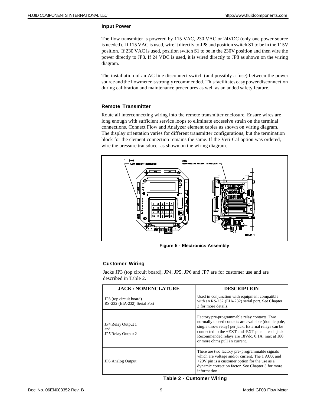#### **Input Power**

The flow transmitter is powered by 115 VAC, 230 VAC or 24VDC (only one power source is needed). If 115 VAC is used, wire it directly to JP8 and position switch S1 to be in the 115V position. If 230 VAC is used, position switch S1 to be in the 230V position and then wire the power directly to JP8. If 24 VDC is used, it is wired directly to JP8 as shown on the wiring diagram.

The installation of an AC line disconnect switch (and possibly a fuse) between the power source and the flowmeter is strongly recommended. This facilitates easy power disconnection during calibration and maintenance procedures as well as an added safety feature.

#### **Remote Transmitter**

Route all interconnecting wiring into the remote transmitter enclosure. Ensure wires are long enough with sufficient service loops to eliminate excessive strain on the terminal connections. Connect Flow and Analyzer element cables as shown on wiring diagram. The display orientation varies for different transmitter configurations, but the termination block for the element connection remains the same. If the Veri-Cal option was ordered, wire the pressure transducer as shown on the wiring diagram.



**Figure 5 - Electronics Assembly**

#### **Customer Wiring**

Jacks JP3 (top circuit board), JP4, JP5, JP6 and JP7 are for customer use and are described in Table 2.

| <b>JACK/NOMENCLATURE</b>                                | <b>DESCRIPTION</b>                                                                                                                                                                                                                                                                                        |  |
|---------------------------------------------------------|-----------------------------------------------------------------------------------------------------------------------------------------------------------------------------------------------------------------------------------------------------------------------------------------------------------|--|
| JP3 (top circuit board)<br>RS-232 (EIA-232) Serial Port | Used in conjunction with equipment compatible<br>with an RS-232 (EIA-232) serial port. See Chapter<br>3 for more details.                                                                                                                                                                                 |  |
| JP4 Relay Output 1<br>and<br><b>JP5 Relay Output 2</b>  | Factory pre-programmable relay contacts. Two<br>normally closed contacts are available (double pole,<br>single throw relay) per jack. External relays can be<br>connected to the $+EXT$ and $-EXT$ pins in each jack.<br>Recommended relays are 18Vdc, 0.1A. max at 180<br>or more ohms pull i n current. |  |
| <b>JP6</b> Analog Output                                | There are two factory pre-programmable signals<br>which are voltage and/or current. The 1 AUX and<br>+20V pin is a customer option for the use as a<br>dynamic correction factor. See Chapter 3 for more<br>information.                                                                                  |  |

**Table 2 - Customer Wiring**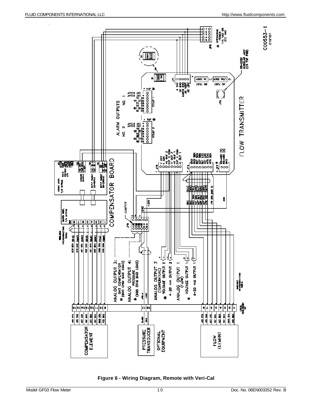

**Figure 6 - Wiring Diagram, Remote with Veri-Cal**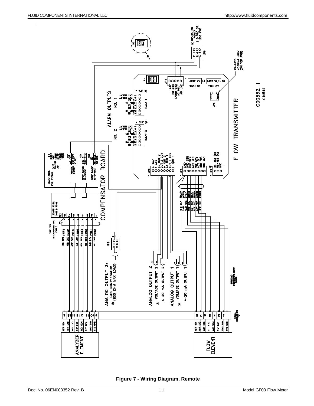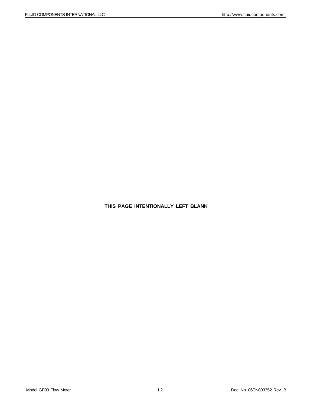**THIS PAGE INTENTIONALLY LEFT BLANK**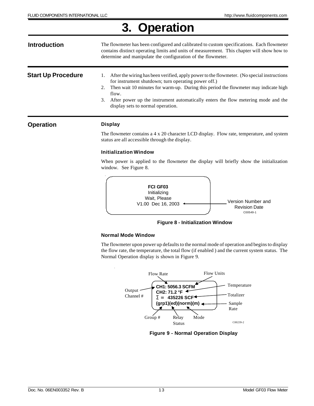# **3. Operation**

| <b>Introduction</b>       | The flowmeter has been configured and calibrated to custom specifications. Each flowmeter<br>contains distinct operating limits and units of measurement. This chapter will show how to<br>determine and manipulate the configuration of the flowmeter.                                                                                                                                     |
|---------------------------|---------------------------------------------------------------------------------------------------------------------------------------------------------------------------------------------------------------------------------------------------------------------------------------------------------------------------------------------------------------------------------------------|
| <b>Start Up Procedure</b> | After the wiring has been verified, apply power to the flowmeter. (No special instructions<br>1.<br>for instrument shutdown; turn operating power off.)<br>2. Then wait 10 minutes for warm-up. During this period the flowmeter may indicate high<br>flow.<br>After power up the instrument automatically enters the flow metering mode and the<br>3.<br>display sets to normal operation. |
| <b>Operation</b>          | <b>Display</b>                                                                                                                                                                                                                                                                                                                                                                              |

The flowmeter contains a 4 x 20 character LCD display. Flow rate, temperature, and system status are all accessible through the display.

#### **Initialization Window**

When power is applied to the flowmeter the display will briefly show the initialization window. See Figure 8.



**Figure 8 - Initialization Window**

#### **Normal Mode Window**

The flowmeter upon power up defaults to the normal mode of operation and begins to display the flow rate, the temperature, the total flow (if enabled ) and the current system status. The Normal Operation display is shown in Figure 9.



**Figure 9 - Normal Operation Display**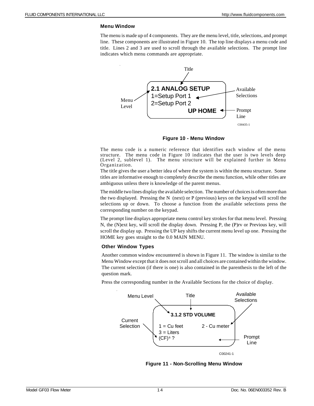#### **Menu Window**

The menu is made up of 4 components. They are the menu level, title, selections, and prompt line. These components are illustrated in Figure 10. The top line displays a menu code and title. Lines 2 and 3 are used to scroll through the available selections. The prompt line indicates which menu commands are appropriate.



**Figure 10 - Menu Window**

The menu code is a numeric reference that identifies each window of the menu structure. The menu code in Figure 10 indicates that the user is two levels deep (Level 2, sublevel 1). The menu structure will be explained further in Menu Organization.

The title gives the user a better idea of where the system is within the menu structure. Some titles are informative enough to completely describe the menu function, while other titles are ambiguous unless there is knowledge of the parent menus.

The middle two lines display the available selection. The number of choices is often more than the two displayed. Pressing the N (next) or P (previous) keys on the keypad will scroll the selections up or down. To choose a function from the available selections press the corresponding number on the keypad.

The prompt line displays appropriate menu control key strokes for that menu level. Pressing N, the (N)ext key, will scroll the display down. Pressing P, the (P)rv or Previous key, will scroll the display up. Pressing the UP key shifts the current menu level up one. Pressing the HOME key goes straight to the 0.0 MAIN MENU.

#### **Other Window Types**

Another common window encountered is shown in Figure 11. The window is similar to the Menu Window except that it does not scroll and all choices are contained within the window. The current selection (if there is one) is also contained in the parenthesis to the left of the question mark.

Press the corresponding number in the Available Sections for the choice of display.



**Figure 11 - Non-Scrolling Menu Window**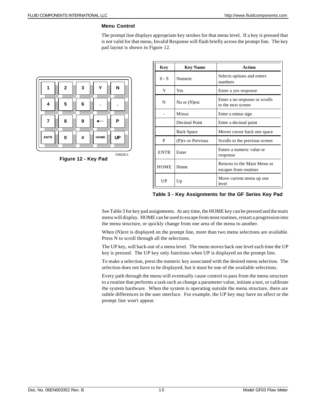#### **Menu Control**

The prompt line displays appropriate key strokes for that menu level. If a key is pressed that is not valid for that menu, Invalid Response will flash briefly across the prompt line. The key pad layout is shown in Figure 12.



**Figure 12 - Key Pad**

| <b>Key</b>  | <b>Key Name</b>   | <b>Action</b>                                        |  |
|-------------|-------------------|------------------------------------------------------|--|
| $0 - 9$     | Numeric           | Selects options and enters<br>numbers                |  |
| Y           | Yes               | Enter a yes response                                 |  |
| N           | No or (N) ext     | Enter a no response or scrolls<br>to the next screen |  |
|             | Minus             | Enter a minus sign                                   |  |
|             | Decimal Point     | Enter a decimal point                                |  |
|             | <b>Back Space</b> | Moves cursor back one space                          |  |
| P           | (P)rv or Previous | Scrolls to the previous screen                       |  |
| <b>ENTR</b> | Enter             | Enters a numeric value or<br>response                |  |
| HOME        | Home              | Returns to the Main Menu or<br>escapes from routines |  |
| UP          | Up                | Move current menu up one<br>level                    |  |

**Table 3 - Key Assignments for the GF Series Key Pad**

See Table 3 for key pad assignments. At any time, the HOME key can be pressed and the main menu will display. HOME can be used to escape from most routines, restart a progression into the menu structure, or quickly change from one area of the menu to another.

When (N)ext is displayed on the prompt line, more than two menu selections are available. Press N to scroll through all the selections.

The UP key, will back-out of a menu level. The menu moves back one level each time the UP key is pressed. The UP key only functions when UP is displayed on the prompt line.

To make a selection, press the numeric key associated with the desired menu selection. The selection does not have to be displayed, but it must be one of the available selections.

Every path through the menu will eventually cause control to pass from the menu structure to a routine that performs a task such as change a parameter value, initiate a test, or calibrate the system hardware. When the system is operating outside the menu structure, there are subtle differences in the user interface. For example, the UP key may have no affect or the prompt line won't appear.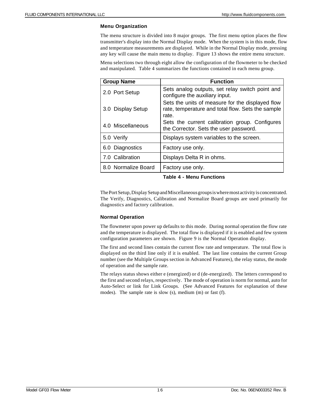#### **Menu Organization**

The menu structure is divided into 8 major groups. The first menu option places the flow transmitter's display into the Normal Display mode. When the system is in this mode, flow and temperature measurements are displayed. While in the Normal Display mode, pressing any key will cause the main menu to display. Figure 13 shows the entire menu structure.

Menu selections two through eight allow the configuration of the flowmeter to be checked and manipulated. Table 4 summarizes the functions contained in each menu group.

| <b>Group Name</b>   | <b>Function</b>                                                                                                |
|---------------------|----------------------------------------------------------------------------------------------------------------|
| 2.0 Port Setup      | Sets analog outputs, set relay switch point and<br>configure the auxiliary input.                              |
| 3.0 Display Setup   | Sets the units of measure for the displayed flow<br>rate, temperature and total flow. Sets the sample<br>rate. |
| 4.0 Miscellaneous   | Sets the current calibration group. Configures<br>the Corrector. Sets the user password.                       |
| 5.0 Verify          | Displays system variables to the screen.                                                                       |
| 6.0 Diagnostics     | Factory use only.                                                                                              |
| 7.0 Calibration     | Displays Delta R in ohms.                                                                                      |
| 8.0 Normalize Board | Factory use only.                                                                                              |

**Table 4 - Menu Functions**

The Port Setup, Display Setup and Miscellaneous groups is where most activity is concentrated. The Verify, Diagnostics, Calibration and Normalize Board groups are used primarily for diagnostics and factory calibration.

### **Normal Operation**

The flowmeter upon power up defaults to this mode. During normal operation the flow rate and the temperature is displayed. The total flow is displayed if it is enabled and few system configuration parameters are shown. Figure 9 is the Normal Operation display.

The first and second lines contain the current flow rate and temperature. The total flow is displayed on the third line only if it is enabled. The last line contains the current Group number (see the Multiple Groups section in Advanced Features), the relay status, the mode of operation and the sample rate.

The relays status shows either e (energized) or d (de-energized). The letters correspond to the first and second relays, respectively. The mode of operation is norm for normal, auto for Auto-Select or link for Link Groups. (See Advanced Features for explanation of these modes). The sample rate is slow (s), medium (m) or fast (f).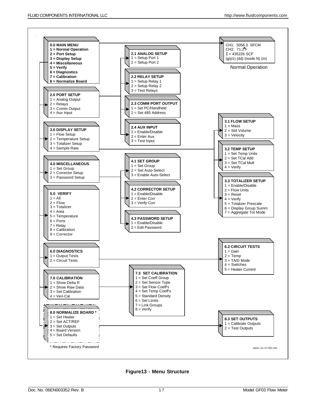

#### **Figure13 - Menu Structure**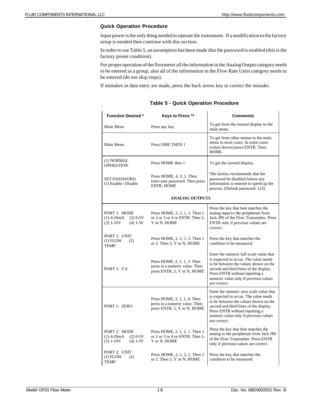#### **Quick Operation Procedure**

 $\overline{a}$ 

Input power is the only thing needed to operate the instrument. If a modification to the factory setup is needed then continue with this section.

In order to use Table 5, an assumption has been made that the password is enabled (this is the factory preset condition).

For proper operation of the flowmeter all the information in the Analog Output category needs to be entered as a group, also all of the information in the Flow Rate Units category needs to be entered (do not skip steps).

If mistakes in data entry are made, press the back arrow key to correct the mistake.

| <b>Function Desired*</b>                                                | <b>Keys to Press **</b>                                                                       | <b>Comments</b>                                                                                                                                                                                                                                                |
|-------------------------------------------------------------------------|-----------------------------------------------------------------------------------------------|----------------------------------------------------------------------------------------------------------------------------------------------------------------------------------------------------------------------------------------------------------------|
| Main Menu                                                               | Press any key                                                                                 | To get from the normal display to the<br>main menu.                                                                                                                                                                                                            |
| Main Menu                                                               | Press OME THEN 1                                                                              | To get from other menus to the main<br>menu in most cases. In some cases<br>(when shown) press ENTR. Then<br>HOME.                                                                                                                                             |
| (1) NORMAL<br><b>OPERATION</b>                                          | Press HOME then 1                                                                             | To get the normal display.                                                                                                                                                                                                                                     |
| <b>SET PASSWORD</b><br>$(1)$ Enable / Disable                           | Press HOME, $4, 3, 1$ . Then<br>enter user password. Then press<br><b>ENTR, HOME</b>          | The factory recommends that the<br>password be disabled before any<br>information is entered to speed up the<br>process. (Default password: 123)                                                                                                               |
|                                                                         | <b>ANALOG OUTPUTS</b>                                                                         |                                                                                                                                                                                                                                                                |
| PORT 1: MODE<br>$(2)$ 0-5V<br>$(1)$ 4-20mA<br>$(3) 1-10V$<br>$(4) 1-5V$ | Press HOME, 2, 1, 1, 1. Then 1<br>or 2 or 3 or 4 or ENTR. Then 5.<br>Y or N. HOME             | Press the key that best matches the<br>analog input to the peripherals from<br>Jack JP6 of the Flow Transmitter. Press<br>ENTR only if previous values are<br>correct.                                                                                         |
| PORT 1: UNIT<br>$(1)$ FLOW<br>(2)<br><b>TEMP</b>                        | Press HOME, 2, 1, 1, 2. Then 1<br>or 2. Then 5, Y or N, HOME                                  | Press the key that matches the<br>condition to be measured.                                                                                                                                                                                                    |
| <b>PORT 1: F.S.</b>                                                     | Press HOME, 2, 1, 1, 3. Then<br>press in a numeric value. Then<br>press ENTR, 5, Y or N, HOME | Enter the numeric full-scale value that<br>is expected to occur. The value needs<br>to be between the values shown on the<br>second and third lines of the display.<br>Press ENTR without inputting a<br>numeric value only if previous values<br>are correct. |
| PORT 1: ZERO                                                            | Press HOME, 2, 1, 1, 4. Then<br>press in a numeric value. Then<br>press ENTR, 5, Y or N, HOME | Enter the numeric zero scale value that<br>is expected to occur. The value needs<br>to be between the values shown on the<br>second and third lines of the display.<br>Press ENTR without inputting a<br>numeric value only if previous values<br>are correct. |
| PORT 2: MODE<br>$(1)$ 4-20mA<br>$(2)$ 0-5V<br>$(3) 1-10V$<br>$(4) 1-5V$ | Press HOME, 2, 1, 2, 1. Then 1<br>or 2 or 3 or 4 or ENTR. Then 5.<br>Y or N. HOME             | Press the key that best matches the<br>analog to the peripherals from Jack JP6<br>of the Flow Transmitter. Press ENTR<br>only if previous values are correct.                                                                                                  |
| PORT 2: UNIT<br>$(1)$ FLOW<br>(2)<br><b>TEMP</b>                        | Press HOME, 2, 1, 2, 2. Then 1<br>or 2. Then 5, Y or N, HOME                                  | Press the key that matches the<br>condition to be measured.                                                                                                                                                                                                    |

#### **Table 5 - Quick Operation Procedure**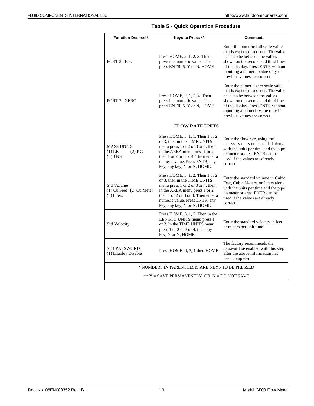| <b>Function Desired*</b>                                   | <b>Keys to Press **</b>                                                                                                                                                                                                                                | <b>Comments</b>                                                                                                                                                                                                                                                |
|------------------------------------------------------------|--------------------------------------------------------------------------------------------------------------------------------------------------------------------------------------------------------------------------------------------------------|----------------------------------------------------------------------------------------------------------------------------------------------------------------------------------------------------------------------------------------------------------------|
| <b>PORT 2: F.S.</b>                                        | Press HOME, $2, 1, 2, 3$ . Then<br>press in a numeric value. Then<br>press ENTR, 5, Y or N, HOME                                                                                                                                                       | Enter the numeric full-scale value<br>that is expected to occur. The value<br>needs to be between the values<br>shown on the second and third lines<br>of the display. Press ENTR without<br>inputting a numeric value only if<br>previous values are correct. |
| PORT 2: ZERO                                               | Press HOME, 2, 1, 2, 4. Then<br>press in a numeric value. Then<br>press ENTR, 5, Y or N, HOME                                                                                                                                                          | Enter the numeric zero scale value<br>that is expected to occur. The value<br>needs to be between the values<br>shown on the second and third lines<br>of the display. Press ENTR without<br>inputting a numeric value only if<br>previous values are correct. |
|                                                            | <b>FLOW RATE UNITS</b>                                                                                                                                                                                                                                 |                                                                                                                                                                                                                                                                |
| <b>MASS UNITS</b><br>$(1)$ LB<br>$(2)$ KG<br>$(3)$ TNS     | Press HOME, 3, 1, 1. Then 1 or 2<br>or 3, then in the TIME UNITS<br>menu press 1 or 2 or 3 or 4, then<br>in the AREA menu press 1 or 2,<br>then 1 or 2 or 3 or 4. Then enter a<br>numeric value. Press ENTR, any<br>key, any key, Y or N, HOME.        | Enter the flow rate, using the<br>necessary mass units needed along<br>with the units per time and the pipe<br>diameter or area. ENTR can be<br>used if the values are already<br>correct.                                                                     |
| Std Volume<br>$(1)$ Cu Feet $(2)$ Cu Meter<br>$(3)$ Liters | Press HOME, $3, 1, 2$ . Then $1$ or $2$<br>or 3, then in the TIME UNITS<br>menu press 1 or 2 or 3 or 4, then<br>in the AREA menu press 1 or 2,<br>then 1 or 2 or 3 or 4. Then enter a<br>numeric value. Press ENTR, any<br>key, any key, Y or N, HOME. | Enter the standard volume in Cubic<br>Feet, Cubic Meters, or Liters along<br>with the units per time and the pipe<br>diameter or area. ENTR can be<br>used if the values are already<br>correct.                                                               |
| <b>Std Velocity</b>                                        | Press HOME, 3, 1, 3. Then in the<br>LENGTH UNITS menu press 1<br>or 2. In the TIME UNITS menu<br>press 1 or 2 or 3 or 4, then any<br>key, Y or N, HOME.                                                                                                | Enter the standard velocity in feet<br>or meters per unit time.                                                                                                                                                                                                |
| <b>SET PASSWORD</b><br>$(1)$ Enable / Disable              | Press HOME, 4, 3, 1 then HOME                                                                                                                                                                                                                          | The factory recommends the<br>password be enabled with this step<br>after the above information has<br>been completed.                                                                                                                                         |
|                                                            | * NUMBERS IN PARENTHESIS ARE KEYS TO BE PRESSED                                                                                                                                                                                                        |                                                                                                                                                                                                                                                                |
|                                                            | ** $Y = SAVE PERMANENTLY OR N = DO NOT SAVE$                                                                                                                                                                                                           |                                                                                                                                                                                                                                                                |

# **Table 5 - Quick Operation Procedure**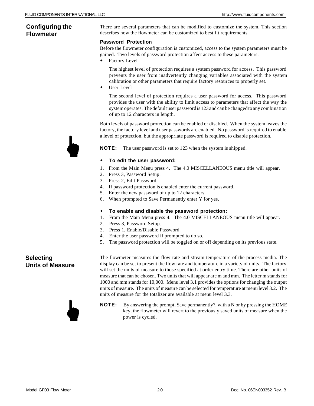#### **Configuring the Flowmeter**

There are several parameters that can be modified to customize the system. This section describes how the flowmeter can be customized to best fit requirements.

#### **Password Protection**

Before the flowmeter configuration is customized, access to the system parameters must be gained. Two levels of password protection affect access to these parameters.

Factory Level

The highest level of protection requires a system password for access. This password prevents the user from inadvertently changing variables associated with the system calibration or other parameters that require factory resources to properly set.

User Level

The second level of protection requires a user password for access. This password provides the user with the ability to limit access to parameters that affect the way the system operates. The default user password is 123 and can be changed to any combination of up to 12 characters in length.

Both levels of password protection can be enabled or disabled. When the system leaves the factory, the factory level and user passwords are enabled. No password is required to enable a level of protection, but the appropriate password is required to disable protection.

**NOTE:** The user password is set to 123 when the system is shipped.

#### **\*** To edit the user password:

- 1. From the Main Menu press 4. The 4.0 MISCELLANEOUS menu title will appear.
- 2. Press 3, Password Setup.
- 3. Press 2, Edit Password.
- 4. If password protection is enabled enter the current password.
- 5. Enter the new password of up to 12 characters.
- 6. When prompted to Save Permanently enter Y for yes.

#### **\*** To enable and disable the password protection:

- 1. From the Main Menu press 4. The 4.0 MISCELLANEOUS menu title will appear.
- 2. Press 3, Password Setup.
- 3. Press 1, Enable/Disable Password.
- 4. Enter the user password if prompted to do so.
- 5. The password protection will be toggled on or off depending on its previous state.

# **Selecting Units of Measure**

The flowmeter measures the flow rate and stream temperature of the process media. The display can be set to present the flow rate and temperature in a variety of units. The factory will set the units of measure to those specified at order entry time. There are other units of measure that can be chosen. Two units that will appear are m and mm. The letter m stands for 1000 and mm stands for 10,000. Menu level 3.1 provides the options for changing the output units of measure. The units of measure can be selected for temperature at menu level 3.2. The units of measure for the totalizer are available at menu level 3.3.

**NOTE:** By answering the prompt, Save permanently?, with a N or by pressing the HOME key, the flowmeter will revert to the previously saved units of measure when the power is cycled.

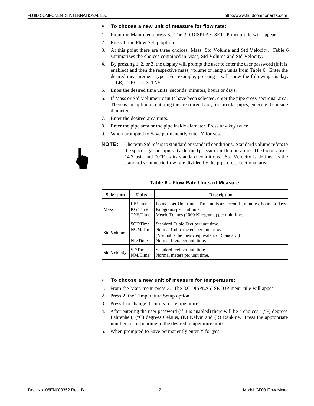- $\cdot$  To choose a new unit of measure for flow rate:
- 1. From the Main menu press 3. The 3.0 DISPLAY SETUP menu title will appear.
- 2. Press 1, the Flow Setup option.
- 3. At this point there are three choices, Mass, Std Volume and Std Velocity. Table 6 summarizes the choices contained in Mass, Std Volume and Std Velocity.
- 4. By pressing 1, 2, or 3, the display will prompt the user to enter the user password (if it is enabled) and then the respective mass, volume or length units from Table 6. Enter the desired measurement type. For example, pressing 1 will show the following display:  $1 = LB$ ,  $2 = KG$  or  $3 = TNS$ .
- 5. Enter the desired time units, seconds, minutes, hours or days.
- 6. If Mass or Std Volumetric units have been selected, enter the pipe cross-sectional area. There is the option of entering the area directly or, for circular pipes, entering the inside diameter.
- 7. Enter the desired area units.
- 8. Enter the pipe area or the pipe inside diameter. Press any key twice.
- 9. When prompted to Save permanently enter Y for yes.
- **NOTE:** The term Std refers to standard or standard conditions. Standard volume refers to the space a gas occupies at a defined pressure and temperature. The factory uses 14.7 psia and 70°F as its standard conditions. Std Velocity is defined as the standard volumetric flow rate divided by the pipe cross-sectional area.

| <b>Selection</b>    | <b>Units</b>                   | <b>Description</b>                                                                                                                                                    |
|---------------------|--------------------------------|-----------------------------------------------------------------------------------------------------------------------------------------------------------------------|
| Mass                | LB/Time<br>KG/Time<br>TNS/Time | Pounds per Unit time. Time units are seconds, minutes, hours or days.<br>Kilograms per unit time.<br>Metric Tonnes (1000 Kilograms) per unit time.                    |
| Std Volume          | SCF/Time<br>NL/Time            | Standard Cubic Feet per unit time.<br>NCM/Time   Normal Cubic meters per unit time.<br>(Normal is the metric equivalent of Standard.)<br>Normal liters per unit time. |
| <b>Std Velocity</b> | SF/Time<br>NM/Time             | Standard feet per unit time.<br>Normal meters per unit time.                                                                                                          |

#### **Table 6 - Flow Rate Units of Measure**

- $\cdot$  To choose a new unit of measure for temperature:
- 1. From the Main menu press 3. The 3.0 DISPLAY SETUP menu title will appear.
- 2. Press 2, the Temperature Setup option.
- 3. Press 1 to change the units for temperature.
- 4. After entering the user password (if it is enabled) there will be 4 choices: (°F) degrees Fahrenheit, (°C) degrees Celsius, (K) Kelvin and (R) Rankine. Press the appropriate number corresponding to the desired temperature units.
- 5. When prompted to Save permanently enter Y for yes.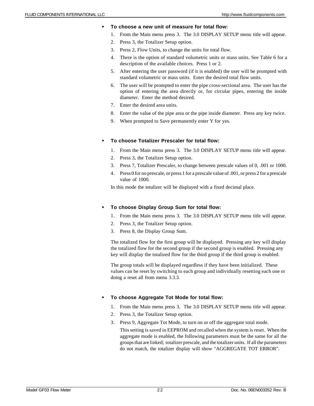- $\bullet$  To choose a new unit of measure for total flow:
	- 1. From the Main menu press 3. The 3.0 DISPLAY SETUP menu title will appear.
	- 2. Press 3, the Totalizer Setup option.
	- 3. Press 2, Flow Units, to change the units for total flow.
	- 4. There is the option of standard volumetric units or mass units. See Table 6 for a description of the available choices. Press 1 or 2.
	- 5. After entering the user password (if it is enabled) the user will be prompted with standard volumetric or mass units. Enter the desired total flow units.
	- 6. The user will be prompted to enter the pipe cross-sectional area. The user has the option of entering the area directly or, for circular pipes, entering the inside diameter. Enter the method desired.
	- 7. Enter the desired area units.
	- 8. Enter the value of the pipe area or the pipe inside diameter. Press any key twice.
	- 9. When prompted to Save permanently enter Y for yes.

#### **To choose Totalizer Prescaler for total flow:**

- 1. From the Main menu press 3. The 3.0 DISPLAY SETUP menu title will appear.
- 2. Press 3, the Totalizer Setup option.
- 3. Press 7, Totalizer Prescaler, to change between prescale values of 0, .001 or 1000.
- 4. Press 0 for no prescale, or press 1 for a prescale value of .001, or press 2 for a prescale value of 1000.

In this mode the totalizer will be displayed with a fixed decimal place.

#### To choose Display Group Sum for total flow:

- 1. From the Main menu press 3. The 3.0 DISPLAY SETUP menu title will appear.
- 2. Press 3, the Totalizer Setup option.
- 3. Press 8, the Display Group Sum.

The totalized flow for the first group will be displayed. Pressing any key will display the totalized flow for the second group if the second group is enabled. Pressing any key will display the totalized flow for the third group if the third group is enabled.

The group totals will be displayed regardless if they have been initialized. These values can be reset by switching to each group and individually resetting each one or doing a reset all from menu 3.3.3.

#### To choose Aggregate Tot Mode for total flow:

- 1. From the Main menu press 3. The 3.0 DISPLAY SETUP menu title will appear.
- 2. Press 3, the Totalizer Setup option.
- 3. Press 9, Aggregate Tot Mode, to turn on or off the aggregate total mode.

This setting is saved in EEPROM and recalled when the system is reset. When the aggregate mode is enabled, the following parameters must be the same for all the groups that are linked; totalizer prescale, and the totalizer units. If all the parameters do not match, the totalizer display will show "AGGREGATE TOT ERROR".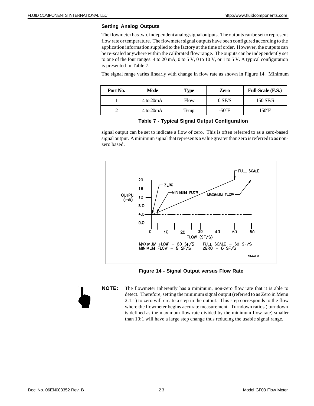#### **Setting Analog Outputs**

The flowmeter has two, independent analog signal outputs. The outputs can be set to represent flow rate or temperature. The flowmeter signal outputs have been configured according to the application information supplied to the factory at the time of order. However, the outputs can be re-scaled anywhere within the calibrated flow range. The ouputs can be independently set to one of the four ranges:  $4 \text{ to } 20 \text{ mA}$ ,  $0 \text{ to } 5 \text{ V}$ ,  $0 \text{ to } 10 \text{ V}$ , or  $1 \text{ to } 5 \text{ V}$ . A typical configuration is presented in Table 7.

The signal range varies linearly with change in flow rate as shown in Figure 14. Minimum

| Port No. | Mode                         | Type | Zero            | Full-Scale (F.S.) |  |  |
|----------|------------------------------|------|-----------------|-------------------|--|--|
|          | $4 \text{ to } 20 \text{mA}$ | Flow | $0$ SF/S        | 150 SF/S          |  |  |
|          | $4 \text{ to } 20 \text{mA}$ | Temp | $-50^{\circ}$ F | 150°F             |  |  |

**Table 7 - Typical Signal Output Configuration**

signal output can be set to indicate a flow of zero. This is often referred to as a zero-based signal output. A minimum signal that represents a value greater than zero is referred to as nonzero based.



**Figure 14 - Signal Output versus Flow Rate**

**NOTE:** The flowmeter inherently has a minimum, non-zero flow rate that it is able to detect. Therefore, setting the minimum signal output (referred to as Zero in Menu 2.1.1) to zero will create a step in the output. This step corresponds to the flow where the flowmeter begins accurate measurement. Turndown ratios ( turndown is defined as the maximum flow rate divided by the minimum flow rate) smaller than 10:1 will have a large step change thus reducing the usable signal range.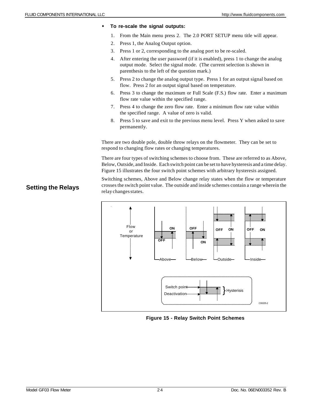|                           | To re-scale the signal outputs:                                                                                                                                                                                                                                                       |
|---------------------------|---------------------------------------------------------------------------------------------------------------------------------------------------------------------------------------------------------------------------------------------------------------------------------------|
|                           | From the Main menu press 2. The 2.0 PORT SETUP menu title will appear.<br>1.                                                                                                                                                                                                          |
|                           | 2.<br>Press 1, the Analog Output option.                                                                                                                                                                                                                                              |
|                           | 3.<br>Press 1 or 2, corresponding to the analog port to be re-scaled.                                                                                                                                                                                                                 |
|                           | After entering the user password (if it is enabled), press 1 to change the analog<br>4.<br>output mode. Select the signal mode. (The current selection is shown in<br>parenthesis to the left of the question mark.)                                                                  |
|                           | 5. Press 2 to change the analog output type. Press 1 for an output signal based on<br>flow. Press 2 for an output signal based on temperature.                                                                                                                                        |
|                           | Press 3 to change the maximum or Full Scale (F.S.) flow rate. Enter a maximum<br>6.<br>flow rate value within the specified range.                                                                                                                                                    |
|                           | Press 4 to change the zero flow rate. Enter a minimum flow rate value within<br>7.<br>the specified range. A value of zero is valid.                                                                                                                                                  |
|                           | Press 5 to save and exit to the previous menu level. Press Y when asked to save<br>8.<br>permanently.                                                                                                                                                                                 |
|                           | There are two double pole, double throw relays on the flowmeter. They can be set to<br>respond to changing flow rates or changing temperatures.                                                                                                                                       |
|                           | There are four types of switching schemes to choose from. These are referred to as Above,<br>Below, Outside, and Inside. Each switch point can be set to have hysteresis and a time delay.<br>Figure 15 illustrates the four switch point schemes with arbitrary hysteresis assigned. |
| <b>Setting the Relays</b> | Switching schemes, Above and Below change relay states when the flow or temperature<br>crosses the switch point value. The outside and inside schemes contain a range wherein the<br>relay changes states.                                                                            |
|                           |                                                                                                                                                                                                                                                                                       |



**Figure 15 - Relay Switch Point Schemes**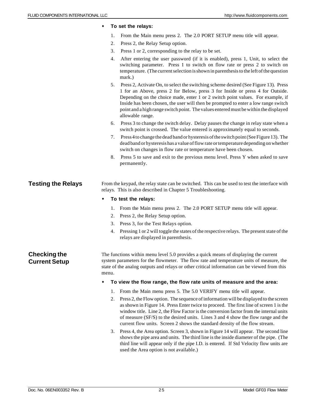|                                             | To set the relays:                                                                                                                                                                                                                                                                                                                                                                                                                                           |
|---------------------------------------------|--------------------------------------------------------------------------------------------------------------------------------------------------------------------------------------------------------------------------------------------------------------------------------------------------------------------------------------------------------------------------------------------------------------------------------------------------------------|
|                                             | From the Main menu press 2. The 2.0 PORT SETUP menu title will appear.<br>1.                                                                                                                                                                                                                                                                                                                                                                                 |
|                                             | 2.<br>Press 2, the Relay Setup option.                                                                                                                                                                                                                                                                                                                                                                                                                       |
|                                             | 3.<br>Press 1 or 2, corresponding to the relay to be set.                                                                                                                                                                                                                                                                                                                                                                                                    |
|                                             | After entering the user password (if it is enabled), press 1, Unit, to select the<br>4.<br>switching parameter. Press 1 to switch on flow rate or press 2 to switch on<br>temperature. (The current selection is shown in parenthesis to the left of the question<br>mark.)                                                                                                                                                                                  |
|                                             | 5. Press 2, Activate On, to select the switching scheme desired (See Figure 13). Press<br>1 for an Above, press 2 for Below, press 3 for Inside or press 4 for Outside.<br>Depending on the choice made, enter 1 or 2 switch point values. For example, if<br>Inside has been chosen, the user will then be prompted to enter a low range switch<br>point and a high range switch point. The values entered must be within the displayed<br>allowable range. |
|                                             | Press 3 to change the switch delay. Delay pauses the change in relay state when a<br>6.<br>switch point is crossed. The value entered is approximately equal to seconds.                                                                                                                                                                                                                                                                                     |
|                                             | Press 4 to change the dead band or hysteresis of the switch point (See Figure 13). The<br>7.<br>dead band or hysteresis has a value of flow rate or temperature depending on whether<br>switch on changes in flow rate or temperature have been chosen.                                                                                                                                                                                                      |
|                                             | 8.<br>Press 5 to save and exit to the previous menu level. Press Y when asked to save<br>permanently.                                                                                                                                                                                                                                                                                                                                                        |
| <b>Testing the Relays</b>                   | From the keypad, the relay state can be switched. This can be used to test the interface with<br>relays. This is also described in Chapter 5 Troubleshooting.                                                                                                                                                                                                                                                                                                |
|                                             | To test the relays:                                                                                                                                                                                                                                                                                                                                                                                                                                          |
|                                             | From the Main menu press 2. The 2.0 PORT SETUP menu title will appear.<br>1.                                                                                                                                                                                                                                                                                                                                                                                 |
|                                             | 2.<br>Press 2, the Relay Setup option.                                                                                                                                                                                                                                                                                                                                                                                                                       |
|                                             | Press 3, for the Test Relays option.<br>3.                                                                                                                                                                                                                                                                                                                                                                                                                   |
|                                             | 4. Pressing 1 or 2 will toggle the states of the respective relays. The present state of the<br>relays are displayed in parenthesis.                                                                                                                                                                                                                                                                                                                         |
| <b>Checking the</b><br><b>Current Setup</b> | The functions within menu level 5.0 provides a quick means of displaying the current<br>system parameters for the flowmeter. The flow rate and temperature units of measure, the<br>state of the analog outputs and relays or other critical information can be viewed from this<br>menu.                                                                                                                                                                    |
|                                             | To view the flow range, the flow rate units of measure and the area:                                                                                                                                                                                                                                                                                                                                                                                         |
|                                             | From the Main menu press 5. The 5.0 VERIFY menu title will appear.<br>1.                                                                                                                                                                                                                                                                                                                                                                                     |
|                                             | Press 2, the Flow option. The sequence of information will be displayed to the screen<br>2.<br>as shown in Figure 14. Press Enter twice to proceed. The first line of screen 1 is the<br>window title. Line 2, the Flow Factor is the conversion factor from the internal units<br>of measure (SF/S) to the desired units. Lines 3 and 4 show the flow range and the<br>current flow units. Screen 2 shows the standard density of the flow stream.          |
|                                             | Press 4, the Area option. Screen 3, shown in Figure 14 will appear. The second line<br>3.<br>shows the pipe area and units. The third line is the inside diameter of the pipe. (The<br>third line will appear only if the pipe I.D. is entered. If Std Velocity flow units are<br>used the Area option is not available.)                                                                                                                                    |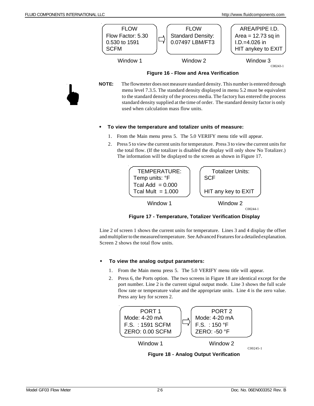

- 
- **NOTE:** The flowmeter does not measure standard density. This number is entered through menu level 7.3.5. The standard density displayed in menu 5.2 must be equivalent to the standard density of the process media. The factory has entered the process standard density supplied at the time of order. The standard density factor is only used when calculation mass flow units.

#### To view the temperature and totalizer units of measure:

- 1. From the Main menu press 5. The 5.0 VERIFY menu title will appear.
- 2. Press 5 to view the current units for temperature. Press 3 to view the current units for the total flow. (If the totalizer is disabled the display will only show No Totalizer.) The information will be displayed to the screen as shown in Figure 17.



**Figure 17 - Temperature, Totalizer Verification Display**

Line 2 of screen 1 shows the current units for temperature. Lines 3 and 4 display the offset and multiplier to the measured temperature. See Advanced Features for a detailed explanation. Screen 2 shows the total flow units.

#### To view the analog output parameters:

- 1. From the Main menu press 5. The 5.0 VERIFY menu title will appear.
- 2. Press 6, the Ports option. The two screens in Figure 18 are identical except for the port number. Line 2 is the current signal output mode. Line 3 shows the full scale flow rate or temperature value and the appropriate units. Line 4 is the zero value. Press any key for screen 2.



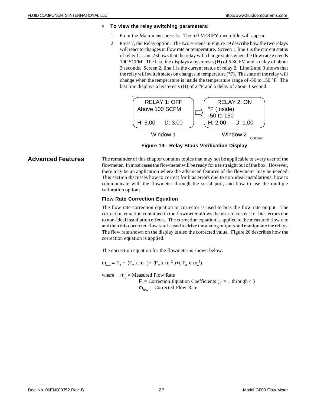#### To view the relay switching parameters:

- 1. From the Main menu press 5. The 5.0 VERIFY menu title will appear.
- 2. Press 7, the Relay option. The two screens in Figure 19 describe how the two relays will react to changes in flow rate or temperature. Screen 1, line 1 is the current status of relay 1. Line 2 shows that the relay will change states when the flow rate exceeds 100 SCFM. The last line displays a hysteresis (H) of 5 SCFM and a delay of about 3 seconds. Screen 2, line 1 is the current status of relay 2. Line 2 and 3 shows that the relay will switch states on changes in temperature (°F). The state of the relay will change when the temperature is inside the temperature range of -50 to 150 °F. The last line displays a hysteresis (H) of  $2^{\circ}$ F and a delay of about 1 second.



**Figure 19 - Relay Staus Verification Display**

# **Advanced Features**

The remainder of this chapter contains topics that may not be applicable to every user of the flowmeter. In most cases the flowmeter will be ready for use straight out of the box. However, there may be an application where the advanced features of the flowmeter may be needed. This section discusses how to correct for bias errors due to non-ideal installations, how to communicate with the flowmeter through the serial port, and how to use the multiple calibration options.

#### **Flow Rate Correction Equation**

The flow rate correction equation or corrector is used to bias the flow rate output. The correction equation contained in the flowmeter allows the user to correct for bias errors due to non-ideal installation effects. The correction equation is applied to the measured flow rate and then this corrected flow rate is used to drive the analog outputs and manipulate the relays. The flow rate shown on the display is also the corrected value. Figure 20 describes how the correction equation is applied.

The correction equation for the flowmeter is shown below.

$$
m_{\text{new}} = F_1 + (F_2 \times m_0) + (F_3 \times m_0^2) + (F_4 \times m_0^3)
$$

where  $m_0$  = Measured Flow Rate  $F_i$  = Correction Equation Coefficients ( $i = 1$  through 4)  $m_{\text{new}}$  = Corrected Flow Rate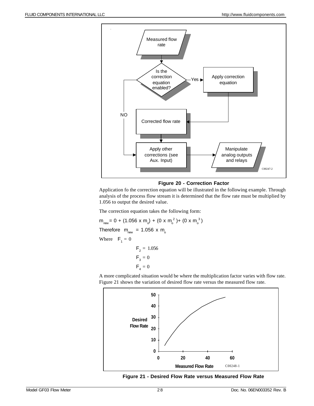

**Figure 20 - Correction Factor**

Application fo the correction equation will be illustrated in the following example. Through analysis of the process flow stream it is determined that the flow rate must be multiplied by 1.056 to output the desired value.

The correction equation takes the following form:

$$
m_{\text{new}} = 0 + (1.056 \times m_{\text{o}}) + (0 \times m_{\text{o}}^2) + (0 \times m_{\text{o}}^3)
$$
  
Therefore  $m_{\text{new}} = 1.056 \times m_{\text{o}}$ 

Where  $F_1 = 0$ 

$$
\mathsf{F}_2 = 1.056
$$

$$
\mathsf{F}_3 = 0
$$

$$
\mathsf{F}_4 = 0
$$

A more complicated situation would be where the multiplication factor varies with flow rate. Figure 21 shows the variation of desired flow rate versus the measured flow rate.



**Figure 21 - Desired Flow Rate versus Measured Flow Rate**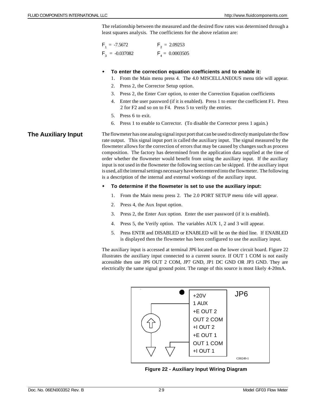The relationship between the measured and the desired flow rates was determined through a least squares analysis. The coefficients for the above relation are:

 $F_1 = -7.5672$  $= -7.5672$   $F<sub>2</sub> = 2.09253$  $F_3 = -0.037082$   $F_4$  $F_{4} = 0.0003505$ 

#### To enter the correction equation coefficients and to enable it:

- 1. From the Main menu press 4. The 4.0 MISCELLANEOUS menu title will appear.
- 2. Press 2, the Corrector Setup option.
- 3. Press 2, the Enter Corr option, to enter the Correction Equation coefficients
- 4. Enter the user password (if it is enabled). Press 1 to enter the coefficient F1. Press 2 for F2 and so on to F4. Press 5 to verify the entries.
- 5. Press 6 to exit.
- 6. Press 1 to enable to Corrector. (To disable the Corrector press 1 again.)

#### **The Auxiliary Input**

The flowmeter has one analog signal input port that can be used to directly manipulate the flow rate output. This signal input port is called the auxiliary input. The signal measured by the flowmeter allows for the correction of errors that may be caused by changes such as process composition. The factory has determined from the application data supplied at the time of order whether the flowmeter would benefit from using the auxiliary input. If the auxiliary input is not used in the flowmeter the following section can be skipped. If the auxiliary input is used, all the internal settings necessary have been entered into the flowmeter. The following is a description of the internal and external workings of the auxiliary input.

- **To determine if the flowmeter is set to use the auxiliary input:** 
	- 1. From the Main menu press 2. The 2.0 PORT SETUP menu title will appear.
	- 2. Press 4, the Aux Input option.
	- 3. Press 2, the Enter Aux option. Enter the user password (if it is enabled).
	- 4. Press 5, the Verify option. The variables AUX 1, 2 and 3 will appear.
	- 5. Press ENTR and DISABLED or ENABLED will be on the third line. If ENABLED is displayed then the flowmeter has been configured to use the auxiliary input.

The auxiliary input is accessed at terminal JP6 located on the lower circuit board. Figure 22 illustrates the auxiliary input connected to a current source. If OUT 1 COM is not easily accessible then use JP6 OUT 2 COM, JP7 GND, JP1 DC GND OR JP3 GND. They are electrically the same signal ground point. The range of this source is most likely 4-20mA.



**Figure 22 - Auxiliary Input Wiring Diagram**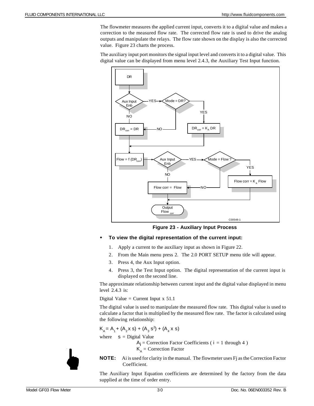The flowmeter measures the applied current input, converts it to a digital value and makes a correction to the measured flow rate. The corrected flow rate is used to drive the analog outputs and manipulate the relays. The flow rate shown on the display is also the corrected value. Figure 23 charts the process.

The auxiliary input port monitors the signal input level and converts it to a digital value. This digital value can be displayed from menu level 2.4.3, the Auxiliary Test Input function.



**Figure 23 - Auxiliary Input Process**

#### To view the digital representation of the current input:

- 1. Apply a current to the auxiliary input as shown in Figure 22.
- 2. From the Main menu press 2. The 2.0 PORT SETUP menu title will appear.
- 3. Press 4, the Aux Input option.
- 4. Press 3, the Test Input option. The digital representation of the current input is displayed on the second line.

The approximate relationship between current input and the digital value displayed in menu level 2.4.3 is:

Digital Value = Current Input  $x$  51.1

The digital value is used to manipulate the measured flow rate. This digital value is used to calculate a factor that is multiplied by the measured flow rate. The factor is calculated using the following relationship:

$$
K_A = A_1 + (A_2 x s) + (A_3 s^2) + (A_4 x s)
$$

where  $s =$  Digital Value

 $A_j$  = Correction Factor Coefficients ( $i = 1$  through 4)  $K_A$  = Correction Factor



**NOTE:** Ai is used for clarity in the manual. The flowmeter uses Fj as the Correction Factor Coefficient.

The Auxiliary Input Equation coefficients are determined by the factory from the data supplied at the time of order entry.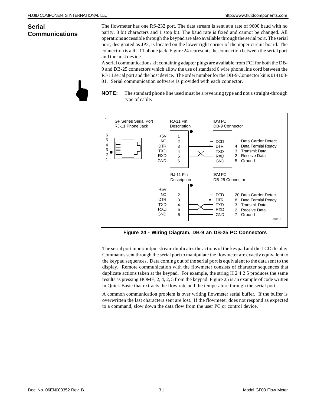# **Serial Communications**

The flowmeter has one RS-232 port. The data stream is sent at a rate of 9600 baud with no parity, 8 bit characters and 1 stop bit. The baud rate is fixed and cannot be changed. All operations accessible through the keypad are also available through the serial port. The serial port, designated as JP3, is located on the lower right corner of the upper circuit board. The connection is a RJ-11 phone jack. Figure 24 represents the connection between the serial port and the host device.

A serial communications kit containing adapter plugs are available from FCI for both the DB-9 and DB-25 connectors which allow the use of standard 6 wire phone line cord between the RJ-11 serial port and the host device. The order number for the DB-9 Connector kit is 014108- 01. Serial communication software is provided with each connector.



**NOTE:** The standard phone line used must be a reversing type and not a straight-through type of cable.



**Figure 24 - Wiring Diagram, DB-9 an DB-25 PC Connectors**

The serial port input/output stream duplicates the actions of the keypad and the LCD display. Commands sent through the serial port to manipulate the flowmeter are exactly equivalent to the keypad sequences. Data coming out of the serial port is equivalent to the data sent to the display. Remote communication with the flowmeter consists of character sequences that duplicate actions taken at the keypad. For example, the string  $H$  2 4 2 5 produces the same results as pressing HOME, 2, 4, 2, 5 from the keypad. Figure 25 is an example of code written in Quick Basic that extracts the flow rate and the temperature through the serial port.

A common communication problem is over writing flowmeter serial buffer. If the buffer is overwritten the last characters sent are lost. If the flowmeter does not respond as expected to a command, slow down the data flow from the user PC or control device.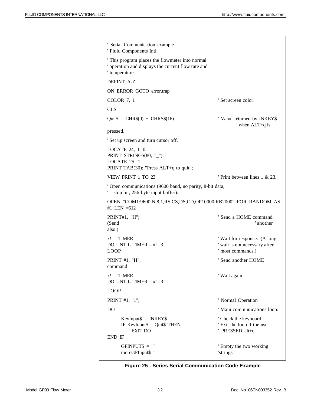| ' Serial Communication example<br>' Fluid Components Intl                                                             |                                                                                    |
|-----------------------------------------------------------------------------------------------------------------------|------------------------------------------------------------------------------------|
| This program places the flowmeter into normal<br>' operation and displays the current flow rate and<br>' temperature. |                                                                                    |
| <b>DEFINT A-Z</b>                                                                                                     |                                                                                    |
| ON ERROR GOTO error.trap                                                                                              |                                                                                    |
| COLOR 7, 1                                                                                                            | ' Set screen color.                                                                |
| <b>CLS</b>                                                                                                            |                                                                                    |
| $Quits = CHRS(0) + CHRSS(16)$                                                                                         | ' Value returned by INKEY\$<br>' when ALT+q is                                     |
| pressed.                                                                                                              |                                                                                    |
| 'Set up screen and turn cursor off.                                                                                   |                                                                                    |
| LOCATE 24, 1, 0<br>PRINT STRING\$(80, "_");<br>LOCATE 25, 1<br>PRINT TAB(30); "Press ALT+q to quit";                  |                                                                                    |
| VIEW PRINT 1 TO 23                                                                                                    | ' Print between lines $1 \& 23$ .                                                  |
| ' Open communications (9600 baud, no parity, 8-bit data,<br>' 1 stop bit, 256-byte input buffer):                     |                                                                                    |
| OPEN "COM1:9600, N, 8, 1, RS, CS, DS, CD, OP10000, RB2000" FOR RANDOM AS<br>#1 LEN $=512$                             |                                                                                    |
| PRINT#1, "H";<br>(Send<br>also.)                                                                                      | ' Send a HOME command.<br>' another                                                |
| $x! = TIMER$<br>DO UNTIL TIMER - x! 3<br><b>LOOP</b>                                                                  | ' Wait for response. (A long<br>' wait is not necessary after<br>' most commands.) |
| PRINT #1, "H";<br>command                                                                                             | ' Send another HOME                                                                |
| $x! = TIMER$<br>DO UNTIL TIMER - x! 3                                                                                 | ' Wait again                                                                       |
| <b>LOOP</b>                                                                                                           |                                                                                    |
| PRINT #1, "1";                                                                                                        | ' Normal Operation                                                                 |
| DO                                                                                                                    | ' Main communications loop.                                                        |
| $KeyInput$ = INKEY$$<br>IF KeyInput $$$ = Quit $$$ THEN<br><b>EXIT DO</b>                                             | ' Check the keyboard.<br>' Exit the loop if the user<br>' PRESSED alt+q.           |
| END IF                                                                                                                |                                                                                    |
| $GFINPUT$ = ""$<br>$moreGFInput$ = ""$                                                                                | ' Empty the two working<br>'strings                                                |

| <b>Figure 25 - Series Serial Communication Code Example</b> |  |  |  |
|-------------------------------------------------------------|--|--|--|
|-------------------------------------------------------------|--|--|--|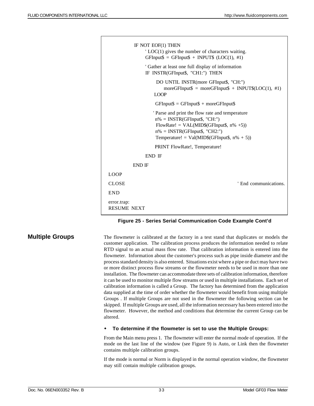| IF NOT EOF(1) THEN<br>'LOC(1) gives the number of characters waiting.<br>$GFInput\$ = $GFInput\$ + INPUT\$ (LOC(1), #1)                                                                                                  |
|--------------------------------------------------------------------------------------------------------------------------------------------------------------------------------------------------------------------------|
| ' Gather at least one full display of information<br>IF INSTR(GFInput\$, "CH1:") THEN                                                                                                                                    |
| DO UNTIL INSTR(more GFInput\$, "CH:")<br>$moreGFInputStream = moreGFInputStream + INPUT$(LOC(1), #1)$<br><b>LOOP</b>                                                                                                     |
| $GFInputStream = GFInputStream + moreGFInputStream$                                                                                                                                                                      |
| Parse and print the flow rate and temperature<br>$n\% = INSTR(GFInput\$ , "CH:")<br>$FlowRate! = VAL(MID$(GFInputStream, n\% +5))$<br>$n\% = INSTR(GFInput\$ , "CH2:")<br>Temperature! = $Val(MIDS(GFInput\$ , n\% + 5)) |
| PRINT FlowRate!, Temperature!                                                                                                                                                                                            |
| END IF                                                                                                                                                                                                                   |
| <b>END IF</b>                                                                                                                                                                                                            |
| <b>LOOP</b>                                                                                                                                                                                                              |
| ' End communications.<br><b>CLOSE</b>                                                                                                                                                                                    |
| <b>END</b>                                                                                                                                                                                                               |
| error.trap:<br><b>RESUME NEXT</b>                                                                                                                                                                                        |

**Figure 25 - Series Serial Communication Code Example Cont'd**

The flowmeter is calibrated at the factory in a test stand that duplicates or models the customer application. The calibration process produces the information needed to relate RTD signal to an actual mass flow rate. That calibration information is entered into the flowmeter. Information about the customer's process such as pipe inside diameter and the process standard density is also entered. Situations exist where a pipe or duct may have two or more distinct process flow streams or the flowmeter needs to be used in more than one installation. The flowmeter can accommodate three sets of calibration information, therefore it can be used to monitor multiple flow streams or used in multiple installations. Each set of calibration information is called a Group. The factory has determined from the application data supplied at the time of order whether the flowmeter would benefit from using multiple Groups . If multiple Groups are not used in the flowmeter the following section can be skipped. If multiple Groups are used, all the information necessary has been entered into the flowmeter. However, the method and conditions that determine the current Group can be altered. **Multiple Groups**

#### To determine if the flowmeter is set to use the Multiple Groups:

From the Main menu press 1. The flowmeter will enter the normal mode of operation. If the mode on the last line of the window (see Figure 9) is Auto, or Link then the flowmeter contains multiple calibration groups.

If the mode is normal or Norm is displayed in the normal operation window, the flowmeter may still contain multiple calibration groups.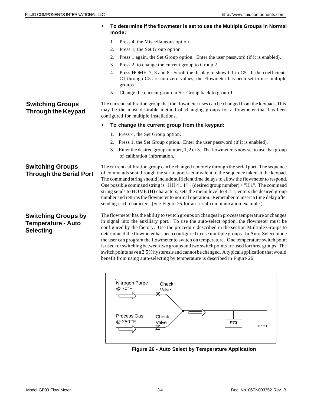|                                                                             | To determine if the flowmeter is set to use the Multiple Groups in Normal<br>mode:                                                                                                                                                                                                                                                                                                                                                                                                                                                                                                                                                                                                                                                                            |
|-----------------------------------------------------------------------------|---------------------------------------------------------------------------------------------------------------------------------------------------------------------------------------------------------------------------------------------------------------------------------------------------------------------------------------------------------------------------------------------------------------------------------------------------------------------------------------------------------------------------------------------------------------------------------------------------------------------------------------------------------------------------------------------------------------------------------------------------------------|
|                                                                             | Press 4, the Miscellaneous option.<br>1.                                                                                                                                                                                                                                                                                                                                                                                                                                                                                                                                                                                                                                                                                                                      |
|                                                                             | 2.<br>Press 1, the Set Group option.                                                                                                                                                                                                                                                                                                                                                                                                                                                                                                                                                                                                                                                                                                                          |
|                                                                             | Press 1 again, the Set Group option. Enter the user password (if it is enabled).<br>2.                                                                                                                                                                                                                                                                                                                                                                                                                                                                                                                                                                                                                                                                        |
|                                                                             | 3.<br>Press 2, to change the current group to Group 2.                                                                                                                                                                                                                                                                                                                                                                                                                                                                                                                                                                                                                                                                                                        |
|                                                                             | Press HOME, 7, 3 and 8. Scroll the display to show C1 to C5. If the coefficients<br>4.<br>C1 through C5 are non-zero values, the Flowmeter has been set to use multiple<br>groups.                                                                                                                                                                                                                                                                                                                                                                                                                                                                                                                                                                            |
|                                                                             | Change the current group in Set Group back to group 1.<br>5.                                                                                                                                                                                                                                                                                                                                                                                                                                                                                                                                                                                                                                                                                                  |
| <b>Switching Groups</b><br><b>Through the Keypad</b>                        | The current calibration group that the flowmeter uses can be changed from the keypad. This<br>may be the most desirable method of changing groups for a flowmeter that has been<br>configured for multiple installations.                                                                                                                                                                                                                                                                                                                                                                                                                                                                                                                                     |
|                                                                             | To change the current group from the keypad:                                                                                                                                                                                                                                                                                                                                                                                                                                                                                                                                                                                                                                                                                                                  |
|                                                                             | 1. Press 4, the Set Group option.                                                                                                                                                                                                                                                                                                                                                                                                                                                                                                                                                                                                                                                                                                                             |
|                                                                             | 2. Press 1, the Set Group option. Enter the user password (if it is enabled).                                                                                                                                                                                                                                                                                                                                                                                                                                                                                                                                                                                                                                                                                 |
|                                                                             | 3. Enter the desired group number, 1, 2 or 3. The flowmeter is now set to use that group<br>of calibration information.                                                                                                                                                                                                                                                                                                                                                                                                                                                                                                                                                                                                                                       |
| <b>Switching Groups</b><br><b>Through the Serial Port</b>                   | The current calibration group can be changed remotely through the serial port. The sequence<br>of commands sent through the serial port is equivalent to the sequence taken at the keypad.<br>The command string should include sufficient time delays to allow the flowmeter to respond.<br>One possible command string is "H H 4 1 $1$ " + (desired group number) + "H 1". The command<br>string sends to HOME (H) characters, sets the menu level to 4.1.1, enters the desired group<br>number and returns the flowmeter to normal operation. Remember to insert a time delay after<br>sending each character. (See Figure 25 for an serial communication example.)                                                                                        |
| <b>Switching Groups by</b><br><b>Temperature - Auto</b><br><b>Selecting</b> | The flowmeter has the ability to switch groups on changes in process temperature or changes<br>in signal into the auxiliary port. To use the auto-select option, the flowmeter must be<br>configured by the factory. Use the procedure described in the section Multiple Groups to<br>determine if the flowmeter has been configured to use multiple groups. In Auto-Select mode<br>the user can program the flowmeter to switch on temperature. One temperature switch point<br>is used for switching between two groups and two switch points are used for three groups. The<br>switch points have a 2.5% hysteresis and cannot be changed. A typical application that would<br>benefit from using auto-selecting by temperature is described in Figure 26. |
|                                                                             | Nitrogen Purge<br>Check<br>@ 70°F<br>۱/۵۱۱۵                                                                                                                                                                                                                                                                                                                                                                                                                                                                                                                                                                                                                                                                                                                   |



**Figure 26 - Auto Select by Temperature Application**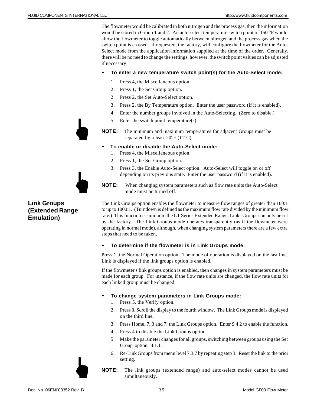The flowmeter would be calibrated in both nitrogen and the process gas, then the information would be stored in Group 1 and 2. An auto-select temperature switch point of 150 °F would allow the flowmeter to toggle automatically between nitrogen and the process gas when the switch point is crossed. If requested, the factory, will configure the flowmeter for the Auto-Select mode from the application information supplied at the time of the order. Generally, there will be no need to change the settings, however, the switch point values can be adjusted if necessary.

#### To enter a new temperature switch point(s) for the Auto-Select mode:

- 1. Press 4, the Miscellaneous option.
- 2. Press 1, the Set Group option.
- 2. Press 2, the Set Auto-Select option.
- 3. Press 2, the By Temperature option. Enter the user password (if it is enabled).
- 4. Enter the number groups involved in the Auto-Selecting. (Zero to disable.)
- 5. Enter the switch point temperature(s).
- **NOTE:** The minimum and maximum temperatures for adjacent Groups must be separated by a least 20°F (11°C).
- To enable or disable the Auto-Select mode:
	- 1. Press 4, the Miscellaneous option.
	- 2. Press 1, the Set Group option.
	- 3. Press 3, the Enable Auto-Select option. Auto-Select will toggle on or off depending on its previous state. Enter the user password (if it is enabled).



**NOTE:** When changing system parameters such as flow rate units the Auto-Select mode must be turned off.

The Link Groups option enables the flowmeter to measure flow ranges of greater than 100:1 to up to 1000:1. (Turndown is defined as the maximum flow rate divided by the minimum flow rate.) This function is similar to the LT Series Extended Range. Links Groups can only be set by the factory. The Link Groups mode operates transparently (as if the flowmeter were operating in normal mode), although, when changing system parameters there are a few extra steps that need to be taken.

#### To determine if the flowmeter is in Link Groups mode:

Press 1, the Normal Operation option. The mode of operation is displayed on the last line. Link is displayed if the link groups option is enabled.

If the flowmeter's link groups option is enabled, then changes in system parameters must be made for each group. For instance, if the flow rate units are changed, the flow rate units for each linked group must be changed.

#### To change system parameters in Link Groups mode:

- 1. Press 5, the Verify option.
- 2. Press 8. Scroll the display to the fourth window. The Link Groups mode is displayed on the third line.
- 3. Press Home, 7, 3 and 7, the Link Groups option. Enter 9 4 2 to enable the function.
- 4. Press 4 to disable the Link Groups option.
- 5. Make the parameter changes for all groups, switching between groups using the Set Group option, 4.1.1.
- 6. Re-Link Groups from menu level 7.3.7 by repeating step 3. Reset the link to the prior setting.
- **NOTE:** The link groups (extended range) and auto-select modes cannot be used simultaneously.



**Link Groups (Extended Range Emulation)**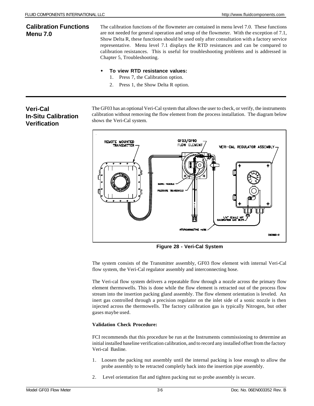# **Calibration Functions Menu 7.0**

The calibration functions of the flowmeter are contained in menu level 7.0. These functions are not needed for general operation and setup of the flowmeter. With the exception of 7.1, Show Delta R, these functions should be used only after consultation with a factory service representative. Menu level 7.1 displays the RTD resistances and can be compared to calibration resistances. This is useful for troubleshooting problems and is addressed in Chapter 5, Troubleshooting.

#### **To view RTD resistance values:**

- 1. Press 7, the Calibration option.
- 2. Press 1, the Show Delta R option.

# **Veri-Cal In-Situ Calibration Verification**

The GF03 has an optional Veri-Cal system that allows the user to check, or verify, the instruments calibration without removing the flow element from the process installation. The diagram below shows the Veri-Cal system.



**Figure 28 - Veri-Cal System**

The system consists of the Transmitter assembly, GF03 flow element with internal Veri-Cal flow system, the Veri-Cal regulator assembly and interconnecting hose.

The Veri-cal flow system delivers a repeatable flow through a nozzle across the primary flow element thermowells. This is done while the flow element is retracted out of the process flow stream into the insertion packing gland assembly. The flow element orientation is leveled. An inert gas controlled through a precision regulator on the inlet side of a sonic nozzle is then injected across the thermowells. The factory calibration gas is typically Nitrogen, but other gases maybe used.

#### **Validation Check Procedure:**

FCI recommends that this procedure be run at the Instruments commissioning to determine an initial installed baseline verification calibration, and to record any installed offset from the factory Veri-cal Basline.

- 1. Loosen the packing nut assembly until the internal packing is lose enough to allow the probe assembly to be retracted completly back into the insertion pipe assembly.
- 2. Level orientation flat and tighten packing nut so probe assembly is secure.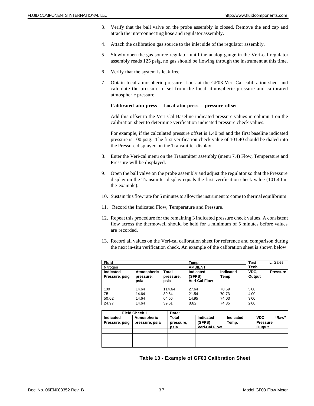- 3. Verify that the ball valve on the probe assembly is closed. Remove the end cap and attach the interconnecting hose and regulator assembly.
- 4. Attach the calibration gas source to the inlet side of the regulator assembly.
- 5. Slowly open the gas source regulator until the analog gauge in the Veri-cal regulator assembly reads 125 psig, no gas should be flowing through the instrument at this time.
- 6. Verify that the system is leak free.
- 7. Obtain local atmospheric pressure. Look at the GF03 Veri-Cal calibration sheet and calculate the pressure offset from the local atmospheric pressure and calibrated atmospheric pressure.

#### **Calibrated atm press – Local atm press = pressure offset**

Add this offset to the Veri-Cal Baseline indicated pressure values in column 1 on the calibration sheet to determine verification indicated pressure check values.

For example, if the calculated pressure offset is 1.40 psi and the first baseline indicated pressure is 100 psig. The first verification check value of 101.40 should be dialed into the Pressure displayed on the Transmitter display.

- 8. Enter the Veri-cal menu on the Transmitter assembly (menu 7.4) Flow, Temperature and Pressure will be displayed.
- 9. Open the ball valve on the probe assembly and adjust the regulator so that the Pressure display on the Transmitter display equals the first verification check value (101.40 in the example).
- 10. Sustain this flow rate for 5 minutes to allow the instrument to come to thermal equilibrium.
- 11. Record the Indicated Flow, Temperature and Pressure.
- 12. Repeat this procedure for the remaining 3 indicated pressure check values. A consistent flow across the thermowell should be held for a minimum of 5 minutes before values are recorded.
- 13. Record all values on the Veri-cal calibration sheet for reference and comparison during the next in-situ verification check. An example of the calibration sheet is shown below.

| <b>Fluid</b>   |                      |      |                   | Temp  |                         |                  | <b>Test</b> |                    | L. Sales        |
|----------------|----------------------|------|-------------------|-------|-------------------------|------------------|-------------|--------------------|-----------------|
| Nitrogen       |                      |      |                   |       | <b>AMBIENT</b>          |                  | Tech        |                    |                 |
| Indicated      | Atmospheric          |      | Total             |       | Indicated               | <b>Indicated</b> | VDC.        |                    | <b>Pressure</b> |
| Pressure, psig | pressure,<br>psia    | psia | pressure,         |       | (SFPS)<br>Veri-Cal Flow | Temp             |             | Output             |                 |
| 100            | 14.64                |      | 114.64            | 27.64 |                         | 70.59            | 5.00        |                    |                 |
| 75             | 14.64                |      | 89.64             |       | 21.54                   | 70.73            |             | 4.00               |                 |
| 50.02          | 14.64                |      | 64.66             |       | 14.95                   | 74.03            | 3.00        |                    |                 |
| 24.97          | 14.64                |      | 39.61             | 8.62  |                         | 74.35            | 2.00        |                    |                 |
|                | <b>Field Check 1</b> |      | Date:             |       |                         |                  |             |                    |                 |
| Indicated      | Atmospheric          |      | Total             |       | Indicated               | Indicated        |             | <b>VDC</b>         | "Raw"           |
| Pressure, psig | pressure, psia       |      | pressure,<br>psia |       | (SFPS)<br>Veri-Cal Flow | Temp.            |             | Pressure<br>Output |                 |
|                |                      |      |                   |       |                         |                  |             |                    |                 |
|                |                      |      |                   |       |                         |                  |             |                    |                 |
|                |                      |      |                   |       |                         |                  |             |                    |                 |
|                |                      |      |                   |       |                         |                  |             |                    |                 |

#### **Table 13 - Example of GF03 Calibration Sheet**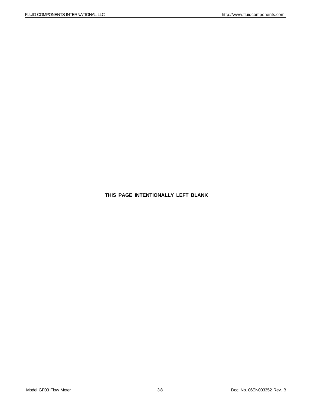# **THIS PAGE INTENTIONALLY LEFT BLANK**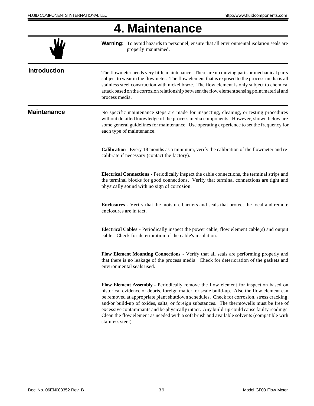# **4. Maintenance**

|                     | <b>Warning:</b> To avoid hazards to personnel, ensure that all environmental isolation seals are<br>properly maintained.                                                                                                                                                                                                                                                                                                                                                                                                                                                                      |
|---------------------|-----------------------------------------------------------------------------------------------------------------------------------------------------------------------------------------------------------------------------------------------------------------------------------------------------------------------------------------------------------------------------------------------------------------------------------------------------------------------------------------------------------------------------------------------------------------------------------------------|
| <b>Introduction</b> | The flowmeter needs very little maintenance. There are no moving parts or mechanical parts<br>subject to wear in the flowmeter. The flow element that is exposed to the process media is all<br>stainless steel construction with nickel braze. The flow element is only subject to chemical<br>attack based on the corrosion relationship between the flow element sensing point material and<br>process media.                                                                                                                                                                              |
| <b>Maintenance</b>  | No specific maintenance steps are made for inspecting, cleaning, or testing procedures<br>without detailed knowledge of the process media components. However, shown below are<br>some general guidelines for maintenance. Use operating experience to set the frequency for<br>each type of maintenance.                                                                                                                                                                                                                                                                                     |
|                     | <b>Calibration</b> - Every 18 months as a minimum, verify the calibration of the flowmeter and re-<br>calibrate if necessary (contact the factory).                                                                                                                                                                                                                                                                                                                                                                                                                                           |
|                     | <b>Electrical Connections</b> - Periodically inspect the cable connections, the terminal strips and<br>the terminal blocks for good connections. Verify that terminal connections are tight and<br>physically sound with no sign of corrosion.                                                                                                                                                                                                                                                                                                                                                |
|                     | <b>Enclosures</b> - Verify that the moisture barriers and seals that protect the local and remote<br>enclosures are in tact.                                                                                                                                                                                                                                                                                                                                                                                                                                                                  |
|                     | <b>Electrical Cables</b> - Periodically inspect the power cable, flow element cable(s) and output<br>cable. Check for deterioration of the cable's insulation.                                                                                                                                                                                                                                                                                                                                                                                                                                |
|                     | Flow Element Mounting Connections - Verify that all seals are performing properly and<br>that there is no leakage of the process media. Check for deterioration of the gaskets and<br>environmental seals used.                                                                                                                                                                                                                                                                                                                                                                               |
|                     | Flow Element Assembly - Periodically remove the flow element for inspection based on<br>historical evidence of debris, foreign matter, or scale build-up. Also the flow element can<br>be removed at appropriate plant shutdown schedules. Check for corrosion, stress cracking,<br>and/or build-up of oxides, salts, or foreign substances. The thermowells must be free of<br>excessive contaminants and be physically intact. Any build-up could cause faulty readings.<br>Clean the flow element as needed with a soft brush and available solvents (compatible with<br>stainless steel). |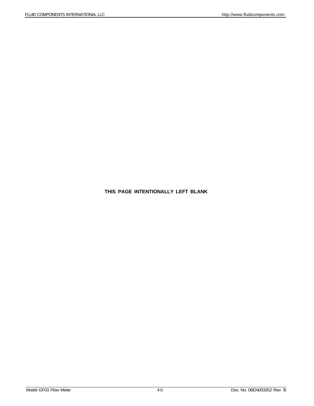# **THIS PAGE INTENTIONALLY LEFT BLANK**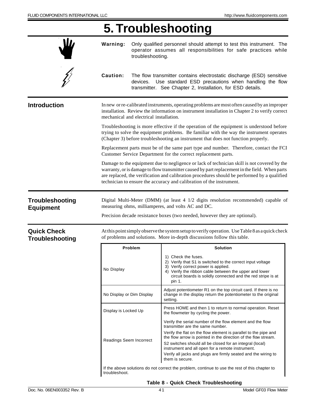|                                              |                                                                                                                                                                                                                                                                                                                                                                       |                           | 5. Troubleshooting                                                                                                                                                                                                                                                                                                                     |  |  |  |
|----------------------------------------------|-----------------------------------------------------------------------------------------------------------------------------------------------------------------------------------------------------------------------------------------------------------------------------------------------------------------------------------------------------------------------|---------------------------|----------------------------------------------------------------------------------------------------------------------------------------------------------------------------------------------------------------------------------------------------------------------------------------------------------------------------------------|--|--|--|
|                                              | Warning:                                                                                                                                                                                                                                                                                                                                                              | troubleshooting.          | Only qualified personnel should attempt to test this instrument. The<br>operator assumes all responsibilities for safe practices while                                                                                                                                                                                                 |  |  |  |
|                                              | Caution:                                                                                                                                                                                                                                                                                                                                                              | devices.                  | The flow transmitter contains electrostatic discharge (ESD) sensitive<br>Use standard ESD precautions when handling the flow<br>transmitter. See Chapter 2, Installation, for ESD details.                                                                                                                                             |  |  |  |
| <b>Introduction</b>                          | In new or re-calibrated instruments, operating problems are most often caused by an improper<br>installation. Review the information on instrument installation in Chapter 2 to verify correct<br>mechanical and electrical installation.                                                                                                                             |                           |                                                                                                                                                                                                                                                                                                                                        |  |  |  |
|                                              | Troubleshooting is more effective if the operation of the equipment is understood before<br>trying to solve the equipment problems. Be familiar with the way the instrument operates<br>(Chapter 3) before troubleshooting an instrument that does not function properly.                                                                                             |                           |                                                                                                                                                                                                                                                                                                                                        |  |  |  |
|                                              | Replacement parts must be of the same part type and number. Therefore, contact the FCI<br>Customer Service Department for the correct replacement parts.                                                                                                                                                                                                              |                           |                                                                                                                                                                                                                                                                                                                                        |  |  |  |
|                                              | Damage to the equipment due to negligence or lack of technician skill is not covered by the<br>warranty, or is damage to flow transmitter caused by part replacement in the field. When parts<br>are replaced, the verification and calibration procedures should be performed by a qualified<br>technician to ensure the accuracy and calibration of the instrument. |                           |                                                                                                                                                                                                                                                                                                                                        |  |  |  |
| <b>Troubleshooting</b><br><b>Equipment</b>   |                                                                                                                                                                                                                                                                                                                                                                       |                           | Digital Multi-Meter (DMM) (at least 4 1/2 digits resolution recommended) capable of<br>measuring ohms, milliamperes, and volts AC and DC.<br>Precision decade resistance boxes (two needed, however they are optional).                                                                                                                |  |  |  |
| <b>Quick Check</b><br><b>Troubleshooting</b> | At this point simply observe the system setup to verify operation. Use Table 8 as a quick check<br>of problems and solutions. More in-depth discussions follow this table.                                                                                                                                                                                            |                           |                                                                                                                                                                                                                                                                                                                                        |  |  |  |
|                                              |                                                                                                                                                                                                                                                                                                                                                                       | Problem                   | <b>Solution</b>                                                                                                                                                                                                                                                                                                                        |  |  |  |
|                                              | No Display                                                                                                                                                                                                                                                                                                                                                            |                           | 1) Check the fuses.<br>2) Verify that S1 is switched to the correct input voltage<br>3) Verify correct power is applied.<br>4) Verify the ribbon cable between the upper and lower<br>circuit boards is solidly connected and the red stripe is at<br>pin 1.                                                                           |  |  |  |
|                                              |                                                                                                                                                                                                                                                                                                                                                                       | No Display or Dim Display | Adjust potentiometer R1 on the top circuit card. If there is no<br>change in the display return the potentiometer to the original<br>setting.                                                                                                                                                                                          |  |  |  |
|                                              | Display is Locked Up                                                                                                                                                                                                                                                                                                                                                  |                           | Press HOME and then 1 to return to normal operation. Reset<br>the flowmeter by cycling the power.                                                                                                                                                                                                                                      |  |  |  |
|                                              |                                                                                                                                                                                                                                                                                                                                                                       |                           | Verify the serial number of the flow element and the flow<br>transmitter are the same number.                                                                                                                                                                                                                                          |  |  |  |
|                                              |                                                                                                                                                                                                                                                                                                                                                                       | Readings Seem Incorrect   | Verify the flat on the flow element is parallel to the pipe and<br>the flow arrow is pointed in the direction of the flow stream.<br>S2 switches should all be closed for an integral (local)<br>instrument and all open for a remote instrument.<br>Verify all jacks and plugs are firmly seated and the wiring to<br>them is secure. |  |  |  |
|                                              | If the above solutions do not correct the problem, continue to use the rest of this chapter to<br>troubleshoot.                                                                                                                                                                                                                                                       |                           |                                                                                                                                                                                                                                                                                                                                        |  |  |  |

# **Table 8 - Quick Check Troubleshooting**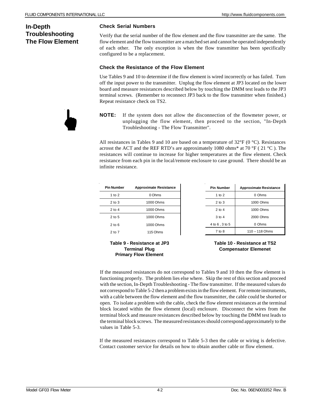#### **Check Serial Numbers**

Verify that the serial number of the flow element and the flow transmitter are the same. The flow element and the flow transmitter are a matched set and cannot be operated independently of each other. The only exception is when the flow transmitter has been specifically configured to be a replacement.

#### **Check the Resistance of the Flow Element**

Use Tables 9 and 10 to determine if the flow element is wired incorrectly or has failed. Turn off the input power to the transmitter. Unplug the flow element at JP3 located on the lower board and measure resistances described below by touching the DMM test leads to the JP3 terminal screws. (Remember to reconnect JP3 back to the flow transmitter when finished.) Repeat resistance check on TS2.

All resistances in Tables 9 and 10 are based on a temperature of  $32^{\circ}F$  (0  $^{\circ}C$ ). Resistances acrosst the ACT and the REF RTD's are approximately 1080 ohms\* at 70  $\degree$ F (21  $\degree$ C). The resistances will continue to increase for higher temperatures at the flow element. Check resistance from each pin in the local/remote enclosure to case ground. There should be an infinite resistance.

| <b>Pin Number</b> | <b>Approximate Resistance</b> | <b>Pin Number</b> |
|-------------------|-------------------------------|-------------------|
| 1 to $2$          | 0 Ohms                        | 1 to $2$          |
| $2$ to $3$        | 1000 Ohms                     | 2 to 3            |
| $2$ to 4          | 1000 Ohms                     | $2$ to $4$        |
| 2 to 5            | 1000 Ohms                     | $3$ to $4$        |
| $2$ to $6$        | 1000 Ohms                     | 4 to 6, 3 to 5    |
| 2 to 7            | 115 Ohms                      | $7$ to $8$        |

**Table 9 - Resistance at JP3 Terminal Plug Primary Flow Element**

| 1 to $2$       | 0 Ohms           |
|----------------|------------------|
| 2 to 3         | 1000 Ohms        |
| $2$ to $4$     | 1000 Ohms        |
| $3$ to $4$     | 2000 Ohms        |
| 4 to 6, 3 to 5 | 0 Ohms           |
| 7 to 8         | $110 - 118$ Ohms |
|                |                  |

**Approximate Resistance** 

**Table 10 - Resistance at TS2 Compensator Elemenet**

If the measured resistances do not correspond to Tables 9 and 10 then the flow element is functioning properly. The problem lies else where. Skip the rest of this section and proceed with the section, In-Depth Troubleshooting - The flow transmitter. If the measured values do not correspond to Table 5-2 then a problem exists in the flow element. For remote instruments, with a cable between the flow element and the flow transmitter, the cable could be shorted or open. To isolate a problem with the cable, check the flow element resistances at the terminal block located within the flow element (local) enclosure. Disconnect the wires from the terminal block and measure resistances described below by touching the DMM test leads to the terminal block screws. The measured resistances should correspond approximately to the values in Table 5-3.

If the measured resistances correspond to Table 5-3 then the cable or wiring is defective. Contact customer service for details on how to obtain another cable or flow element.

**NOTE:** If the system does not allow the disconnection of the flowmeter power, or unplugging the flow element, then proceed to the section, "In-Depth Troubleshooting - The Flow Transmitter".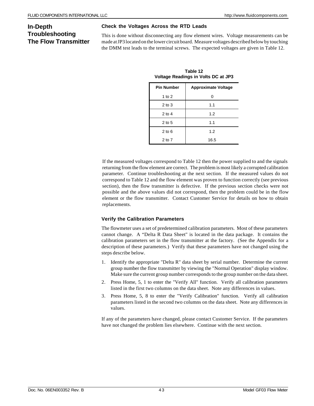# **In-Depth Troubleshooting The Flow Transmitter**

#### **Check the Voltages Across the RTD Leads**

This is done without disconnecting any flow element wires. Voltage measurements can be made at JP3 located on the lower circuit board. Measure voltages described below by touching the DMM test leads to the terminal screws. The expected voltages are given in Table 12.

**Table 12**

| 10VG 14<br>Voltage Readings in Volts DC at JP3 |                            |  |
|------------------------------------------------|----------------------------|--|
| <b>Pin Number</b>                              | <b>Approximate Voltage</b> |  |
| 1 to 2                                         | Ω                          |  |
| $2$ to $3$                                     | 1.1                        |  |
| $2$ to 4                                       | 1.2                        |  |
| 2 to 5                                         | 1.1                        |  |
| $2$ to $6$                                     | 1.2                        |  |
| 2 to 7                                         | 16.5                       |  |

If the measured voltages correspond to Table 12 then the power supplied to and the signals returning from the flow element are correct. The problem is most likely a corrupted calibration parameter. Continue troubleshooting at the next section. If the measured values do not correspond to Table 12 and the flow element was proven to function correctly (see previous section), then the flow transmitter is defective. If the previous section checks were not possible and the above values did not correspond, then the problem could be in the flow element or the flow transmitter. Contact Customer Service for details on how to obtain replacements.

#### **Verify the Calibration Parameters**

The flowmeter uses a set of predetermined calibration parameters. Most of these parameters cannot change. A "Delta R Data Sheet" is located in the data package. It contains the calibration parameters set in the flow transmitter at the factory. (See the Appendix for a description of these parameters.) Verify that these parameters have not changed using the steps describe below.

- 1. Identify the appropriate "Delta R" data sheet by serial number. Determine the current group number the flow transmitter by viewing the "Normal Operation" display window. Make sure the current group number corresponds to the group number on the data sheet.
- 2. Press Home, 5, 1 to enter the "Verify All" function. Verify all calibration parameters listed in the first two columns on the data sheet. Note any differences in values.
- 3. Press Home, 5, 8 to enter the "Verify Calibration" function. Verify all calibration parameters listed in the second two columns on the data sheet. Note any differences in values.

If any of the parameters have changed, please contact Customer Service. If the parameters have not changed the problem lies elsewhere. Continue with the next section.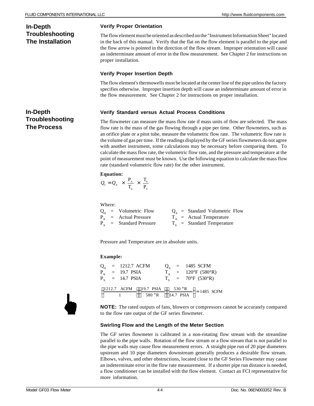# **In-Depth Troubleshooting The Installation**

**In-Depth**

**Troubleshooting The Process**

#### **Verify Proper Orientation**

The flow element must be oriented as described on the "Instrument Information Sheet" located in the back of this manual. Verify that the flat on the flow element is parallel to the pipe and the flow arrow is pointed in the direction of the flow stream. Improper orientation will cause an indeterminate amount of error in the flow measurement. See Chapter 2 for instructions on proper installation.

### **Verify Proper Insertion Depth**

The flow element's thermowells must be located at the center line of the pipe unless the factory specifies otherwise. Improper insertion depth will cause an indeterminate amount of error in the flow measurement. See Chapter 2 for instructions on proper installation.

### **Verify Standard versus Actual Process Conditions**

The flowmeter can measure the mass flow rate if mass units of flow are selected. The mass flow rate is the mass of the gas flowing through a pipe per time. Other flowmeters, such as an orifice plate or a pitot tube, measure the volumetric flow rate. The volumetric flow rate is the volume of gas per time. If the readings displayed by the GF series flowmeters do not agree with another instrument, some calculations may be necessary before comparing them. To calculate the mass flow rate, the volumetric flow rate, and the pressure and temperature at the point of measurement must be known. Use the following equation to calculate the mass flow rate (standard volumetric flow rate) for the other instrument.

#### **Equation:**

$$
Q_s = Q_A \times \frac{P_A}{T_A} \times \frac{T_s}{P_s}
$$

Where:

|  | $Q_{\Lambda}$ = Volumetric Flow | $Q_s$ = Standard Volumetric Flow   |
|--|---------------------------------|------------------------------------|
|  | $P_{\Lambda}$ = Actual Pressure | $T_{\Lambda}$ = Actual Temperature |
|  | $P_s$ = Standard Pressure       | $T_s$ = Standard Temperature       |

Pressure and Temperature are in absolute units.

#### **Example:**

 $Q_A$  = 1212.7 ACFM  $Q_S$  = 1485 SCFM  $P_A$  = 19.7 PSIA  $T_A$  = 120°F (580°R)  $P_S$  = 14.7 PSIA  $T_S$  = 70°F (530°R)  $\frac{330 \text{ K}}{14.7 \text{ PSIA}}$  = 1485 SCFM 530 ° R 580 °R 19.7 PSIA  $\frac{1212.7 \text{ ACFM}}{1} \left( \frac{19.7 \text{ PSIA}}{580 \text{°R}} \right) \left( \frac{530 \text{°R}}{14.7 \text{ PSIA}} \right) =$  $\left(\frac{530 \text{ °R}}{14.7 \text{ PSIA}}\right)$  $\int \frac{530}{14.7} \frac{\circ}{\text{PS}}$  $\left(\frac{19.7}{580 \text{ °R}}\right)$ ſ  $\frac{15!7}{580}$  $\left(\frac{1212.7 \text{ ACFM}}{1}\right)$ ſ



**NOTE:** The rated outputs of fans, blowers or compressors cannot be accurately compared to the flow rate output of the GF series flowmeter.

#### **Swirling Flow and the Length of the Meter Section**

The GF series flowmeter is calibrated in a non-rotating flow stream with the streamline parallel to the pipe walls. Rotation of the flow stream or a flow stream that is not parallel to the pipe walls may cause flow measurement errors. A straight pipe run of 20 pipe diameters upstream and 10 pipe diameters downstream generally produces a desirable flow stream. Elbows, valves, and other obstructions, located close to the GF Series Flowmeter may cause an indeterminate error in the flow rate measurement. If a shorter pipe run distance is needed, a flow conditioner can be installed with the flow element. Contact an FCI representative for more information.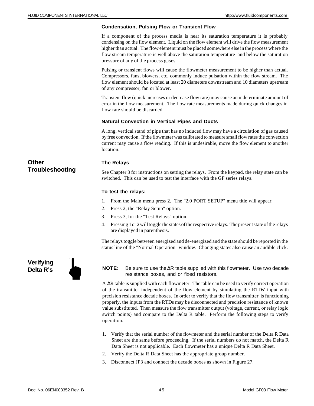#### **Condensation, Pulsing Flow or Transient Flow**

If a component of the process media is near its saturation temperature it is probably condensing on the flow element. Liquid on the flow element will drive the flow measurement higher than actual. The flow element must be placed somewhere else in the process where the flow stream temperature is well above the saturation temperature and below the saturation pressure of any of the process gases.

Pulsing or transient flows will cause the flowmeter measurement to be higher than actual. Compressors, fans, blowers, etc. commonly induce pulsation within the flow stream. The flow element should be located at least 20 diameters downstream and 10 diameters upstream of any compressor, fan or blower.

Transient flow (quick increases or decrease flow rate) may cause an indeterminate amount of error in the flow measurement. The flow rate measurements made during quick changes in flow rate should be discarded.

#### **Natural Convection in Vertical Pipes and Ducts**

A long, vertical stand of pipe that has no induced flow may have a circulation of gas caused by free convection. If the flowmeter was calibrated to measure small flow rates the convection current may cause a flow reading. If this is undesirable, move the flow element to another location.

#### **Other Troubleshooting The Relays**

See Chapter 3 for instructions on setting the relays. From the keypad, the relay state can be switched. This can be used to test the interface with the GF series relays.

#### **To test the relays:**

- 1. From the Main menu press 2. The "2.0 PORT SETUP" menu title will appear.
- 2. Press 2, the "Relay Setup" option.
- 3. Press 3, for the "Test Relays" option.
- 4. Pressing 1 or 2 will toggle the states of the respective relays. The present state of the relays are displayed in parenthesis.

The relays toggle between energized and de-energized and the state should be reported in the status line of the "Normal Operation" window. Changing states also cause an audible click.

# **Verifying Delta R's**



#### **NOTE:** Be sure to use the ΔR table supplied with this flowmeter. Use two decade resistance boxes, and or fixed resistors.

A ΔR table is supplied with each flowmeter. The table can be used to verify correct operation of the transmitter independent of the flow element by simulating the RTDs' input with precision resistance decade boxes. In order to verify that the flow transmitter is functioning properly, the inputs from the RTDs may be disconnected and precision resistance of known value substituted. Then measure the flow transmitter output (voltage, current, or relay logic switch points) and compare to the Delta R table. Perform the following steps to verify operation.

- 1. Verify that the serial number of the flowmeter and the serial number of the Delta R Data Sheet are the same before proceeding. If the serial numbers do not match, the Delta R Data Sheet is not applicable. Each flowmeter has a unique Delta R Data Sheet.
- 2. Verify the Delta R Data Sheet has the appropriate group number.
- 3. Disconnect JP3 and connect the decade boxes as shown in Figure 27.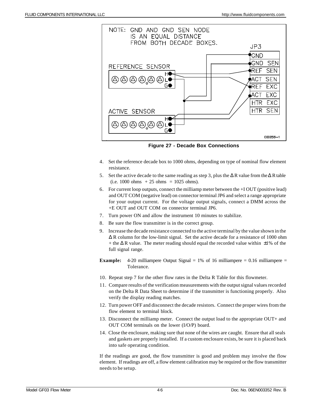

**Figure 27 - Decade Box Connections**

- 4. Set the reference decade box to 1000 ohms, depending on type of nominal flow element resistance.
- 5. Set the active decade to the same reading as step 3, plus the  $\Delta R$  value from the  $\Delta R$  table  $(i.e. 1000 ohms + 25 ohms = 1025 ohms)$ .
- 6. For current loop outputs, connect the milliamp meter between the +I OUT (positive lead) and OUT COM (negative lead) on connector terminal JP6 and select a range appropriate for your output current. For the voltage output signals, connect a DMM across the +E OUT and OUT COM on connector terminal JP6.
- 7. Turn power ON and allow the instrument 10 minutes to stabilize.
- 8. Be sure the flow transmitter is in the correct group.
- 9. Increase the decade resistance connected to the active terminal by the value shown in the Δ R column for the low-limit signal. Set the active decade for a resistance of 1000 ohm + the  $\Delta$  R value. The meter reading should equal the recorded value within  $\pm 1\%$  of the full signal range.
- **Example:** 4-20 milliampere Output Signal  $= 1\%$  of 16 milliampere  $= 0.16$  milliampere  $=$ Tolerance.
- 10. Repeat step 7 for the other flow rates in the Delta R Table for this flowmeter.
- 11. Compare results of the verification measurements with the output signal values recorded on the Delta R Data Sheet to determine if the transmitter is functioning properly. Also verify the display reading matches.
- 12. Turn power OFF and disconnect the decade resistors. Connect the proper wires from the flow element to terminal block.
- 13. Disconnect the milliamp meter. Connect the output load to the appropriate OUT+ and OUT COM terminals on the lower (I/O/P) board.
- 14. Close the enclosure, making sure that none of the wires are caught. Ensure that all seals and gaskets are properly installed. If a custom enclosure exists, be sure it is placed back into safe operating condition.

If the readings are good, the flow transmitter is good and problem may involve the flow element. If readings are off, a flow element calibration may be required or the flow transmitter needs to be setup.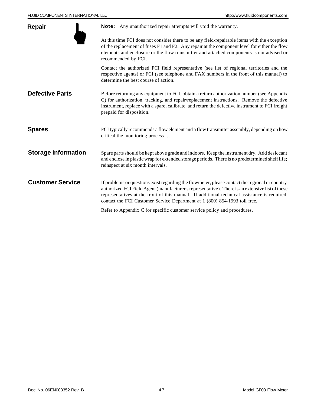| <b>Note:</b> Any unauthorized repair attempts will void the warranty.<br>Repair |                                                                                                                                                                                                                                                                                                                                                                                 |
|---------------------------------------------------------------------------------|---------------------------------------------------------------------------------------------------------------------------------------------------------------------------------------------------------------------------------------------------------------------------------------------------------------------------------------------------------------------------------|
|                                                                                 | At this time FCI does not consider there to be any field-repairable items with the exception<br>of the replacement of fuses F1 and F2. Any repair at the component level for either the flow<br>elements and enclosure or the flow transmitter and attached components is not advised or<br>recommended by FCI.                                                                 |
|                                                                                 | Contact the authorized FCI field representative (see list of regional territories and the<br>respective agents) or FCI (see telephone and FAX numbers in the front of this manual) to<br>determine the best course of action.                                                                                                                                                   |
| <b>Defective Parts</b>                                                          | Before returning any equipment to FCI, obtain a return authorization number (see Appendix<br>C) for authorization, tracking, and repair/replacement instructions. Remove the defective<br>instrument, replace with a spare, calibrate, and return the defective instrument to FCI freight<br>prepaid for disposition.                                                           |
| <b>Spares</b>                                                                   | FCI typically recommends a flow element and a flow transmitter assembly, depending on how<br>critical the monitoring process is.                                                                                                                                                                                                                                                |
| <b>Storage Information</b>                                                      | Spare parts should be kept above grade and indoors. Keep the instrument dry. Add desiccant<br>and enclose in plastic wrap for extended storage periods. There is no predetermined shelf life;<br>reinspect at six month intervals.                                                                                                                                              |
| <b>Customer Service</b>                                                         | If problems or questions exist regarding the flowmeter, please contact the regional or country<br>authorized FCI Field Agent (manufacturer's representative). There is an extensive list of these<br>representatives at the front of this manual. If additional technical assistance is required,<br>contact the FCI Customer Service Department at 1 (800) 854-1993 toll free. |
|                                                                                 | Refer to Appendix C for specific customer service policy and procedures.                                                                                                                                                                                                                                                                                                        |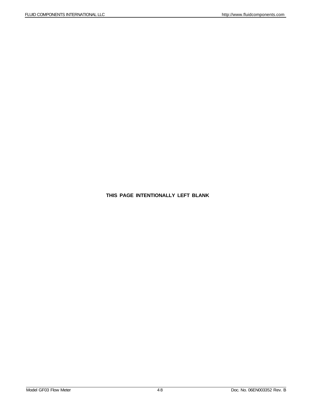### **THIS PAGE INTENTIONALLY LEFT BLANK**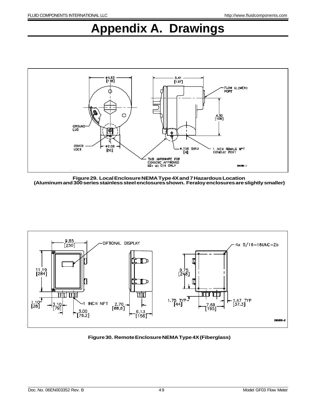# **Appendix A. Drawings**



**Figure 29. Local Enclosure NEMA Type 4X and 7 Hazardous Location (Aluminum and 300 series stainless steel enclosures shown. Feraloy enclosures are slightly smaller)**



**Figure 30. Remote Enclosure NEMA Type 4X (Fiberglass)**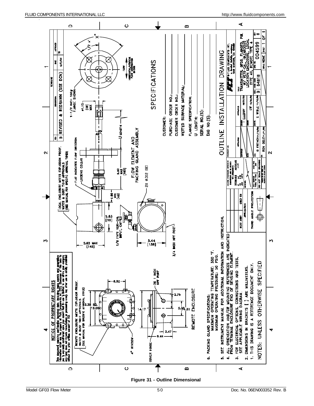

**Figure 31 - Outline Dimensional**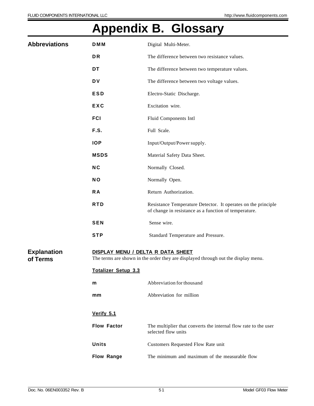# **Appendix B. Glossary**

| <b>Abbreviations</b>           | <b>DMM</b>                                                                                                             | Digital Multi-Meter.                                                                                                   |
|--------------------------------|------------------------------------------------------------------------------------------------------------------------|------------------------------------------------------------------------------------------------------------------------|
|                                | <b>DR</b>                                                                                                              | The difference between two resistance values.                                                                          |
|                                | <b>DT</b>                                                                                                              | The difference between two temperature values.                                                                         |
|                                | <b>DV</b>                                                                                                              | The difference between two voltage values.                                                                             |
|                                | <b>ESD</b>                                                                                                             | Electro-Static Discharge.                                                                                              |
|                                | EXC                                                                                                                    | Excitation wire.                                                                                                       |
|                                | <b>FCI</b>                                                                                                             | Fluid Components Intl                                                                                                  |
|                                | F.S.                                                                                                                   | Full Scale.                                                                                                            |
|                                | <b>IOP</b>                                                                                                             | Input/Output/Power supply.                                                                                             |
|                                | <b>MSDS</b>                                                                                                            | Material Safety Data Sheet.                                                                                            |
|                                | <b>NC</b>                                                                                                              | Normally Closed.                                                                                                       |
|                                | <b>NO</b>                                                                                                              | Normally Open.                                                                                                         |
|                                | <b>RA</b>                                                                                                              | Return Authorization.                                                                                                  |
|                                | <b>RTD</b>                                                                                                             | Resistance Temperature Detector. It operates on the principle<br>of change in resistance as a function of temperature. |
|                                | <b>SEN</b>                                                                                                             | Sense wire.                                                                                                            |
|                                | <b>STP</b>                                                                                                             | Standard Temperature and Pressure.                                                                                     |
| <b>Explanation</b><br>of Terms | DISPLAY MENU / DELTA R DATA SHEET<br>The terms are shown in the order they are displayed through out the display menu. |                                                                                                                        |
|                                | Totalizer Setup 3.3                                                                                                    |                                                                                                                        |
|                                | m                                                                                                                      | Abbreviation for thousand                                                                                              |
|                                | mm                                                                                                                     | Abbreviation for million                                                                                               |
|                                | Verify 5.1                                                                                                             |                                                                                                                        |
|                                | <b>Flow Factor</b>                                                                                                     | The multiplier that converts the internal flow rate to the user<br>selected flow units                                 |
|                                | Units                                                                                                                  | Customers Requested Flow Rate unit                                                                                     |
|                                | <b>Flow Range</b>                                                                                                      | The minimum and maximum of the measurable flow                                                                         |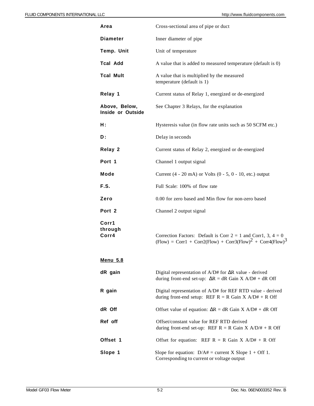| Area                               | Cross-sectional area of pipe or duct                                                                                                                    |  |
|------------------------------------|---------------------------------------------------------------------------------------------------------------------------------------------------------|--|
| <b>Diameter</b>                    | Inner diameter of pipe                                                                                                                                  |  |
| Temp. Unit                         | Unit of temperature                                                                                                                                     |  |
| <b>Tcal Add</b>                    | A value that is added to measured temperature (default is 0)                                                                                            |  |
| <b>Tcal Mult</b>                   | A value that is multiplied by the measured<br>temperature (default is 1)                                                                                |  |
| Relay 1                            | Current status of Relay 1, energized or de-energized                                                                                                    |  |
| Above, Below,<br>Inside or Outside | See Chapter 3 Relays, for the explanation                                                                                                               |  |
| н.                                 | Hysteresis value (in flow rate units such as 50 SCFM etc.)                                                                                              |  |
| D:                                 | Delay in seconds                                                                                                                                        |  |
| Relay 2                            | Current status of Relay 2, energized or de-energized                                                                                                    |  |
| Port 1                             | Channel 1 output signal                                                                                                                                 |  |
| Mode                               | Current $(4 - 20 \text{ mA})$ or Volts $(0 - 5, 0 - 10, \text{ etc.})$ output                                                                           |  |
| F.S.                               | Full Scale: 100% of flow rate                                                                                                                           |  |
| Zero                               | 0.00 for zero based and Min flow for non-zero based                                                                                                     |  |
| Port 2                             | Channel 2 output signal                                                                                                                                 |  |
| Corr1<br>through<br>Corr4          | Correction Factors: Default is Corr $2 = 1$ and Corr1, 3, $4 = 0$<br>(Flow) = Corr1 + Corr2(Flow) + Corr3(Flow) <sup>2</sup> + Corr4(Flow) <sup>3</sup> |  |
| <u>Menu 5.8</u>                    |                                                                                                                                                         |  |
| dR gain                            | Digital representation of $A/D#$ for $\Delta R$ value - derived<br>during front-end set-up: $\Delta R = dR$ Gain X $A/DH + dR$ Off                      |  |
| R gain                             | Digital representation of A/D# for REF RTD value - derived<br>during front-end setup: REF $R = R$ Gain X A/D# + R Off                                   |  |
| dR Off                             | Offset value of equation: $\Delta R = dR$ Gain X $A/D# + dR$ Off                                                                                        |  |
| Ref off                            | Offset/constant value for REF RTD derived<br>during front-end set-up: REF $R = R$ Gain X A/D/# + R Off                                                  |  |
| Offset 1                           | Offset for equation: REF $R = R$ Gain X A/D# + R Off                                                                                                    |  |
| Slope 1                            | Slope for equation: $D/A# =$ current X Slope 1 + Off 1.<br>Corresponding to current or voltage output                                                   |  |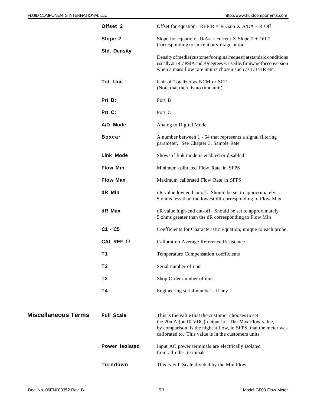|              | Offset 2              | Offset for equation: REF $R = R$ Gain X A/D# + R Off                                                                                                                                                                                |
|--------------|-----------------------|-------------------------------------------------------------------------------------------------------------------------------------------------------------------------------------------------------------------------------------|
|              | Slope 2               | Slope for equation: $D/A# =$ current X Slope 2 + Off 2.<br>Corresponding to current or voltage output                                                                                                                               |
|              | <b>Std. Density</b>   | Density of media (customer's original request) at standard conditions<br>usually at 14.7 PSIA and 70 degrees F: used by firmware for conversion<br>when a mass flow rate unit is chosen such as LB/HR etc.                          |
|              | Tot. Unit             | Unit of Totalizer as NCM or SCF<br>(Note that there is no time unit)                                                                                                                                                                |
|              | Prt B:                | Port B                                                                                                                                                                                                                              |
|              | Prt C:                | Port C                                                                                                                                                                                                                              |
|              | A/D Mode              | Analog to Digital Mode                                                                                                                                                                                                              |
|              | <b>Boxcar</b>         | A number between 1 - 64 that represents a signal filtering<br>parameter. See Chapter 3, Sample Rate                                                                                                                                 |
|              | Link Mode             | Shows if link mode is enabled or disabled                                                                                                                                                                                           |
|              | <b>Flow Min</b>       | Minimum calibrated Flow Rate in SFPS                                                                                                                                                                                                |
|              | <b>Flow Max</b>       | Maximum calibrated Flow Rate in SFPS                                                                                                                                                                                                |
|              | dR Min                | dR value low end cutoff. Should be set to approximately<br>5 ohms less than the lowest dR corresponding to Flow Max                                                                                                                 |
|              | dR Max                | dR value high-end cut-off. Should be set to approximately<br>5 ohms greater than the dR corresponding to Flow Min                                                                                                                   |
|              | C1 - C5               | Coefficients for Characteristic Equation; unique to each probe                                                                                                                                                                      |
|              | <b>CAL REF W</b>      | Calibration Average Reference Resistance                                                                                                                                                                                            |
|              | T1                    | Temperature Compensation coefficients                                                                                                                                                                                               |
|              | T <sub>2</sub>        | Serial number of unit                                                                                                                                                                                                               |
|              | T <sub>3</sub>        | Shop Order number of unit                                                                                                                                                                                                           |
|              | Τ4                    | Engineering serial number - if any                                                                                                                                                                                                  |
| <b>Terms</b> | <b>Full Scale</b>     | This is the value that the customer chooses to set<br>the 20mA (or 10 VDC) output to. The Max Flow value,<br>by comparison, is the highest flow, in SFPS, that the meter was<br>calibrated to. This value is in the customers units |
|              | <b>Power Isolated</b> | Input AC power terminals are electrically isolated<br>from all other terminals                                                                                                                                                      |
|              | Turndown              | This is Full Scale divided by the Min Flow                                                                                                                                                                                          |

**Miscellaneous**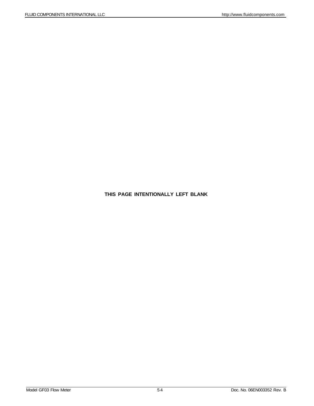### **THIS PAGE INTENTIONALLY LEFT BLANK**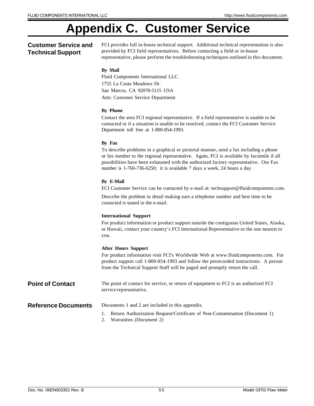# **Appendix C. Customer Service**

# **Customer Service and Technical Support**

FCI provides full in-house technical support. Additional technical representation is also provided by FCI field representatives. Before contacting a field or in-house representative, please perform the troubleshooting techniques outlined in this document.

#### **By Mail**

Fluid Components International LLC 1755 La Costa Meadows Dr. San Marcos, CA 92078-5115 USA Attn: Customer Service Department

#### **By Phone**

Contact the area FCI regional representative. If a field representative is unable to be contacted or if a situation is unable to be resolved, contact the FCI Customer Service Department toll free at 1-800-854-1993.

#### **By Fax**

To describe problems in a graphical or pictorial manner, send a fax including a phone or fax number to the regional representative. Again, FCI is available by facsimile if all possibilities have been exhausted with the authorized factory representative. Our Fax number is 1-760-736-6250; it is available 7 days a week, 24 hours a day.

#### **By E-Mail**

FCI Customer Service can be contacted by e-mail at: techsupport@fluidcomponents.com.

Describe the problem in detail making sure a telephone number and best time to be contacted is stated in the e-mail.

#### **International Support**

For product information or product support outside the contiguous United States, Alaska, or Hawaii, contact your country's FCI International Representative or the one nearest to you.

#### **After Hours Support**

For product information visit FCI's Worldwide Web at www.fluidcomponents.com. For product support call 1-800-854-1993 and follow the prerecorded instructions. A person from the Technical Support Staff will be paged and promptly return the call.

#### The point of contact for service, or return of equipment to FCI is an authorized FCI service representative. **Point of Contact**

**Reference Documents**

- Documents 1 and 2 are included in this appendix.
- 1. Return Authorization Request/Certificate of Non-Contamination (Document 1)
- 2. Warranties (Document 2)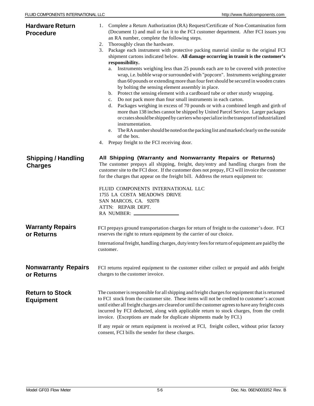| <b>Hardware Return</b><br><b>Procedure</b>   | 1. Complete a Return Authorization (RA) Request/Certificate of Non-Contamination form<br>(Document 1) and mail or fax it to the FCI customer department. After FCI issues you<br>an RA number, complete the following steps.<br>Thoroughly clean the hardware.<br>2.<br>Package each instrument with protective packing material similar to the original FCI<br>3.<br>shipment cartons indicated below. All damage occurring in transit is the customer's<br>responsibility.<br>Instruments weighing less than 25 pounds each are to be covered with protective<br>a.<br>wrap, i.e. bubble wrap or surrounded with "popcorn". Instruments weighing greater<br>than 60 pounds or extending more than four feet should be secured in wooden crates<br>by bolting the sensing element assembly in place.<br>Protect the sensing element with a cardboard tube or other sturdy wrapping.<br>b.<br>Do not pack more than four small instruments in each carton.<br>c.<br>Packages weighing in excess of 70 pounds or with a combined length and girth of<br>d.<br>more than 138 inches cannot be shipped by United Parcel Service. Larger packages<br>or crates should be shipped by carriers who specialize in the transport of industrialized<br>instrumentation.<br>The RA number should be noted on the packing list and marked clearly on the outside<br>e.<br>of the box.<br>Prepay freight to the FCI receiving door.<br>4. |
|----------------------------------------------|-------------------------------------------------------------------------------------------------------------------------------------------------------------------------------------------------------------------------------------------------------------------------------------------------------------------------------------------------------------------------------------------------------------------------------------------------------------------------------------------------------------------------------------------------------------------------------------------------------------------------------------------------------------------------------------------------------------------------------------------------------------------------------------------------------------------------------------------------------------------------------------------------------------------------------------------------------------------------------------------------------------------------------------------------------------------------------------------------------------------------------------------------------------------------------------------------------------------------------------------------------------------------------------------------------------------------------------------------------------------------------------------------------------------------------|
|                                              |                                                                                                                                                                                                                                                                                                                                                                                                                                                                                                                                                                                                                                                                                                                                                                                                                                                                                                                                                                                                                                                                                                                                                                                                                                                                                                                                                                                                                               |
| <b>Shipping / Handling</b><br><b>Charges</b> | All Shipping (Warranty and Nonwarranty Repairs or Returns)<br>The customer prepays all shipping, freight, duty/entry and handling charges from the<br>customer site to the FCI door. If the customer does not prepay, FCI will invoice the customer<br>for the charges that appear on the freight bill. Address the return equipment to:<br>FLUID COMPONENTS INTERNATIONAL LLC<br>1755 LA COSTA MEADOWS DRIVE<br>SAN MARCOS, CA. 92078<br>ATTN: REPAIR DEPT.                                                                                                                                                                                                                                                                                                                                                                                                                                                                                                                                                                                                                                                                                                                                                                                                                                                                                                                                                                  |
| <b>Warranty Repairs</b><br>or Returns        | FCI prepays ground transportation charges for return of freight to the customer's door. FCI<br>reserves the right to return equipment by the carrier of our choice.                                                                                                                                                                                                                                                                                                                                                                                                                                                                                                                                                                                                                                                                                                                                                                                                                                                                                                                                                                                                                                                                                                                                                                                                                                                           |
|                                              | International freight, handling charges, duty/entry fees for return of equipment are paid by the<br>customer.                                                                                                                                                                                                                                                                                                                                                                                                                                                                                                                                                                                                                                                                                                                                                                                                                                                                                                                                                                                                                                                                                                                                                                                                                                                                                                                 |
| <b>Nonwarranty Repairs</b><br>or Returns     | FCI returns repaired equipment to the customer either collect or prepaid and adds freight<br>charges to the customer invoice.                                                                                                                                                                                                                                                                                                                                                                                                                                                                                                                                                                                                                                                                                                                                                                                                                                                                                                                                                                                                                                                                                                                                                                                                                                                                                                 |
| <b>Return to Stock</b><br><b>Equipment</b>   | The customer is responsible for all shipping and freight charges for equipment that is returned<br>to FCI stock from the customer site. These items will not be credited to customer's account<br>until either all freight charges are cleared or until the customer agrees to have any freight costs<br>incurred by FCI deducted, along with applicable return to stock charges, from the credit<br>invoice. (Exceptions are made for duplicate shipments made by FCI.)                                                                                                                                                                                                                                                                                                                                                                                                                                                                                                                                                                                                                                                                                                                                                                                                                                                                                                                                                      |
|                                              | If any repair or return equipment is received at FCI, freight collect, without prior factory<br>consent, FCI bills the sender for these charges.                                                                                                                                                                                                                                                                                                                                                                                                                                                                                                                                                                                                                                                                                                                                                                                                                                                                                                                                                                                                                                                                                                                                                                                                                                                                              |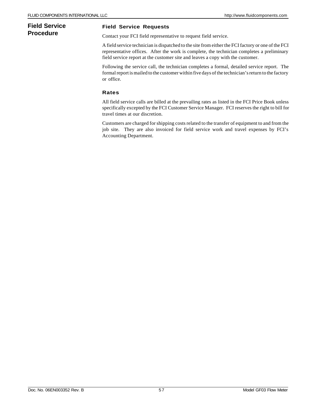### **Field Service Procedure**

#### **Field Service Requests**

Contact your FCI field representative to request field service.

A field service technician is dispatched to the site from either the FCI factory or one of the FCI representative offices. After the work is complete, the technician completes a preliminary field service report at the customer site and leaves a copy with the customer.

Following the service call, the technician completes a formal, detailed service report. The formal report is mailed to the customer within five days of the technician's return to the factory or office.

#### **Rates**

All field service calls are billed at the prevailing rates as listed in the FCI Price Book unless specifically excepted by the FCI Customer Service Manager. FCI reserves the right to bill for travel times at our discretion.

Customers are charged for shipping costs related to the transfer of equipment to and from the job site. They are also invoiced for field service work and travel expenses by FCI's Accounting Department.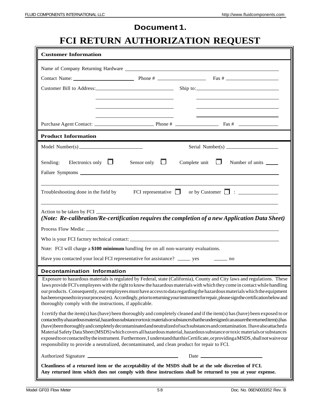# **Document 1.**

# **FCI RETURN AUTHORIZATION REQUEST**

| <b>Customer Information</b>                                                                                                                                                                                                                                                                                                                                                                                                                                                                                                                                                                                                                                                                                                                                                                    |                           |               |                                                                                                                                                                                                                                                                                                                                                                                                               |
|------------------------------------------------------------------------------------------------------------------------------------------------------------------------------------------------------------------------------------------------------------------------------------------------------------------------------------------------------------------------------------------------------------------------------------------------------------------------------------------------------------------------------------------------------------------------------------------------------------------------------------------------------------------------------------------------------------------------------------------------------------------------------------------------|---------------------------|---------------|---------------------------------------------------------------------------------------------------------------------------------------------------------------------------------------------------------------------------------------------------------------------------------------------------------------------------------------------------------------------------------------------------------------|
| Name of Company Returning Hardware <b>Manual Accord Company</b> Returning Hardware <b>Manual Accord Company</b> Returning Accord Company Accord Company Returning Accord Company Accord Company Accord Company Accord Company Accord Com                                                                                                                                                                                                                                                                                                                                                                                                                                                                                                                                                       |                           |               |                                                                                                                                                                                                                                                                                                                                                                                                               |
|                                                                                                                                                                                                                                                                                                                                                                                                                                                                                                                                                                                                                                                                                                                                                                                                |                           |               |                                                                                                                                                                                                                                                                                                                                                                                                               |
| Customer Bill to Address: 2008 and 2008 and 2008 and 2008 and 2008 and 2008 and 2008 and 2008 and 2008 and 200                                                                                                                                                                                                                                                                                                                                                                                                                                                                                                                                                                                                                                                                                 |                           |               | Ship to:                                                                                                                                                                                                                                                                                                                                                                                                      |
|                                                                                                                                                                                                                                                                                                                                                                                                                                                                                                                                                                                                                                                                                                                                                                                                |                           |               |                                                                                                                                                                                                                                                                                                                                                                                                               |
|                                                                                                                                                                                                                                                                                                                                                                                                                                                                                                                                                                                                                                                                                                                                                                                                |                           |               |                                                                                                                                                                                                                                                                                                                                                                                                               |
|                                                                                                                                                                                                                                                                                                                                                                                                                                                                                                                                                                                                                                                                                                                                                                                                |                           |               |                                                                                                                                                                                                                                                                                                                                                                                                               |
| <b>Product Information</b>                                                                                                                                                                                                                                                                                                                                                                                                                                                                                                                                                                                                                                                                                                                                                                     |                           |               |                                                                                                                                                                                                                                                                                                                                                                                                               |
|                                                                                                                                                                                                                                                                                                                                                                                                                                                                                                                                                                                                                                                                                                                                                                                                |                           |               |                                                                                                                                                                                                                                                                                                                                                                                                               |
| Electronics only $\Box$<br>Sending:                                                                                                                                                                                                                                                                                                                                                                                                                                                                                                                                                                                                                                                                                                                                                            | Sensor only               | Complete unit | Number of units _______                                                                                                                                                                                                                                                                                                                                                                                       |
| Troubleshooting done in the field by                                                                                                                                                                                                                                                                                                                                                                                                                                                                                                                                                                                                                                                                                                                                                           | FCI representative $\Box$ |               | or by Customer $\Box$ : $\_\_\_\_\_\_\_\_\_\_\_\_\_\_\_\_\_\_\_\_\_\_\_\_\_\_\_\_$                                                                                                                                                                                                                                                                                                                            |
| Action to be taken by FCI<br>(Note: Re-calibration/Re-certification requires the completion of a new Application Data Sheet)                                                                                                                                                                                                                                                                                                                                                                                                                                                                                                                                                                                                                                                                   |                           |               |                                                                                                                                                                                                                                                                                                                                                                                                               |
|                                                                                                                                                                                                                                                                                                                                                                                                                                                                                                                                                                                                                                                                                                                                                                                                |                           |               |                                                                                                                                                                                                                                                                                                                                                                                                               |
|                                                                                                                                                                                                                                                                                                                                                                                                                                                                                                                                                                                                                                                                                                                                                                                                |                           |               |                                                                                                                                                                                                                                                                                                                                                                                                               |
| Note: FCI will charge a \$100 minimum handling fee on all non-warranty evaluations.                                                                                                                                                                                                                                                                                                                                                                                                                                                                                                                                                                                                                                                                                                            |                           |               |                                                                                                                                                                                                                                                                                                                                                                                                               |
| Have you contacted your local FCI representative for assistance? _______ yes                                                                                                                                                                                                                                                                                                                                                                                                                                                                                                                                                                                                                                                                                                                   |                           |               | $\sim$ no                                                                                                                                                                                                                                                                                                                                                                                                     |
| <b>Decontamination Information</b>                                                                                                                                                                                                                                                                                                                                                                                                                                                                                                                                                                                                                                                                                                                                                             |                           |               |                                                                                                                                                                                                                                                                                                                                                                                                               |
| Exposure to hazardous materials is regulated by Federal, state (California), County and City laws and regulations. These<br>laws provide FCI's employees with the right to know the hazardous materials with which they come in contact while handling<br>our products. Consequently, our employees must have access to data regarding the hazardous materials which the equipment<br>has been exposed to in your process(es). Accordingly, prior to returning your instrument for repair, please sign the certification below and<br>thoroughly comply with the instructions, if applicable.                                                                                                                                                                                                  |                           |               |                                                                                                                                                                                                                                                                                                                                                                                                               |
| I certify that the item(s) has (have) been thoroughly and completely cleaned and if the item(s) has (have) been exposed to or<br>contacted by a hazardous material, hazardous substance or toxic materials or substances that the undersigned can assure the returned item(s) has<br>(have) been thoroughly and completely decontaminated and neutralized of such substances and contamination. I have also attached a<br>Material Safety Data Sheet (MSDS) which covers all hazardous material, hazardous substance or toxic materials or substances<br>exposed to or contacted by the instrument. Furthermore, I understand that this Certificate, or providing a MSDS, shall not waive our<br>responsibility to provide a neutralized, decontaminated, and clean product for repair to FCI. |                           |               |                                                                                                                                                                                                                                                                                                                                                                                                               |
|                                                                                                                                                                                                                                                                                                                                                                                                                                                                                                                                                                                                                                                                                                                                                                                                |                           |               | Date $\frac{1}{\sqrt{1-\frac{1}{2}}\sqrt{1-\frac{1}{2}}\sqrt{1-\frac{1}{2}}\sqrt{1-\frac{1}{2}}\sqrt{1-\frac{1}{2}}\sqrt{1-\frac{1}{2}}\sqrt{1-\frac{1}{2}}\sqrt{1-\frac{1}{2}}\sqrt{1-\frac{1}{2}}\sqrt{1-\frac{1}{2}}\sqrt{1-\frac{1}{2}}\sqrt{1-\frac{1}{2}}\sqrt{1-\frac{1}{2}}\sqrt{1-\frac{1}{2}}\sqrt{1-\frac{1}{2}}\sqrt{1-\frac{1}{2}}\sqrt{1-\frac{1}{2}}\sqrt{1-\frac{1}{2}}\sqrt{1-\frac{1}{2}}\$ |
| Cleanliness of a returned item or the acceptability of the MSDS shall be at the sole discretion of FCI.<br>Any returned item which does not comply with these instructions shall be returned to you at your expense.                                                                                                                                                                                                                                                                                                                                                                                                                                                                                                                                                                           |                           |               |                                                                                                                                                                                                                                                                                                                                                                                                               |

 $\mathsf{I}$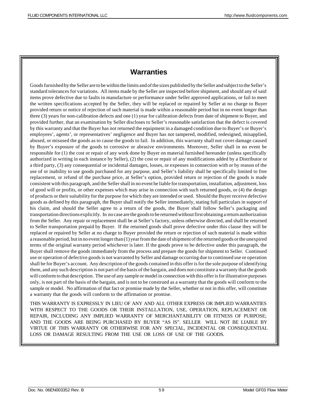# **Warranties**

Goods furnished by the Seller are to be within the limits and of the sizes published by the Seller and subject to the Seller's standard tolerances for variations. All items made by the Seller are inspected before shipment, and should any of said items prove defective due to faults in manufacture or performance under Seller approved applications, or fail to meet the written specifications accepted by the Seller, they will be replaced or repaired by Seller at no charge to Buyer provided return or notice of rejection of such material is made within a reasonable period but in no event longer than three (3) years for non-calibration defects and one (1) year for calibration defects from date of shipment to Buyer, and provided further, that an examination by Seller discloses to Seller's reasonable satisfaction that the defect is covered by this warranty and that the Buyer has not returned the equipment in a damaged condition due to Buyer's or Buyer's employees', agents', or representatives' negligence and Buyer has not tampered, modified, redesigned, misapplied, abused, or misused the goods as to cause the goods to fail. In addition, this warranty shall not cover damage caused by Buyer's exposure of the goods to corrosive or abrasive environments. Moreover, Seller shall in no event be responsible for (1) the cost or repair of any work done by Buyer on material furnished hereunder (unless specifically authorized in writing in each instance by Seller), (2) the cost or repair of any modifications added by a Distributor or a third party, (3) any consequential or incidental damages, losses, or expenses in connection with or by reason of the use of or inability to use goods purchased for any purpose, and Seller's liability shall be specifically limited to free replacement, or refund of the purchase price, at Seller's option, provided return or rejection of the goods is made consistent with this paragraph, and the Seller shall in no event be liable for transportation, installation, adjustment, loss of good will or profits, or other expenses which may arise in connection with such returned goods, or (4) the design of products or their suitability for the purpose for which they are intended or used. Should the Buyer receive defective goods as defined by this paragraph, the Buyer shall notify the Seller immediately, stating full particulars in support of his claim, and should the Seller agree to a return of the goods, the Buyer shall follow Seller's packaging and transportation directions explicitly. In no case are the goods to be returned without first obtaining a return authorization from the Seller. Any repair or replacement shall be at Seller's factory, unless otherwise directed, and shall be returned to Seller transportation prepaid by Buyer. If the returned goods shall prove defective under this clause they will be replaced or repaired by Seller at no charge to Buyer provided the return or rejection of such material is made within a reasonable period, but in no event longer than (1) year from the date of shipment of the returned goods or the unexpired terms of the original warranty period whichever is later. If the goods prove to be defective under this paragraph, the Buyer shall remove the goods immediately from the process and prepare the goods for shipment to Seller. Continued use or operation of defective goods is not warranted by Seller and damage occurring due to continued use or operation shall be for Buyer's account. Any description of the goods contained in this offer is for the sole purpose of identifying them, and any such description is not part of the basis of the bargain, and does not constitute a warranty that the goods will conform to that description. The use of any sample or model in connection with this offer is for illustrative purposes only, is not part of the basis of the bargain, and is not to be construed as a warranty that the goods will conform to the sample or model. No affirmation of that fact or promise made by the Seller, whether or not in this offer, will constitute a warranty that the goods will conform to the affirmation or promise.

THIS WARRANTY IS EXPRESSLY IN LIEU OF ANY AND ALL OTHER EXPRESS OR IMPLIED WARRANTIES WITH RESPECT TO THE GOODS OR THEIR INSTALLATION, USE, OPERATION, REPLACEMENT OR REPAIR, INCLUDING ANY IMPLIED WARRANTY OF MERCHANTABILITY OR FITNESS OF PURPOSE; AND THE GOODS ARE BEING PURCHASED BY BUYER "AS IS". SELLER WILL NOT BE LIABLE BY VIRTUE OF THIS WARRANTY OR OTHERWISE FOR ANY SPECIAL, INCIDENTAL OR CONSEQUENTIAL LOSS OR DAMAGE RESULTING FROM THE USE OR LOSS OF USE OF THE GOODS.